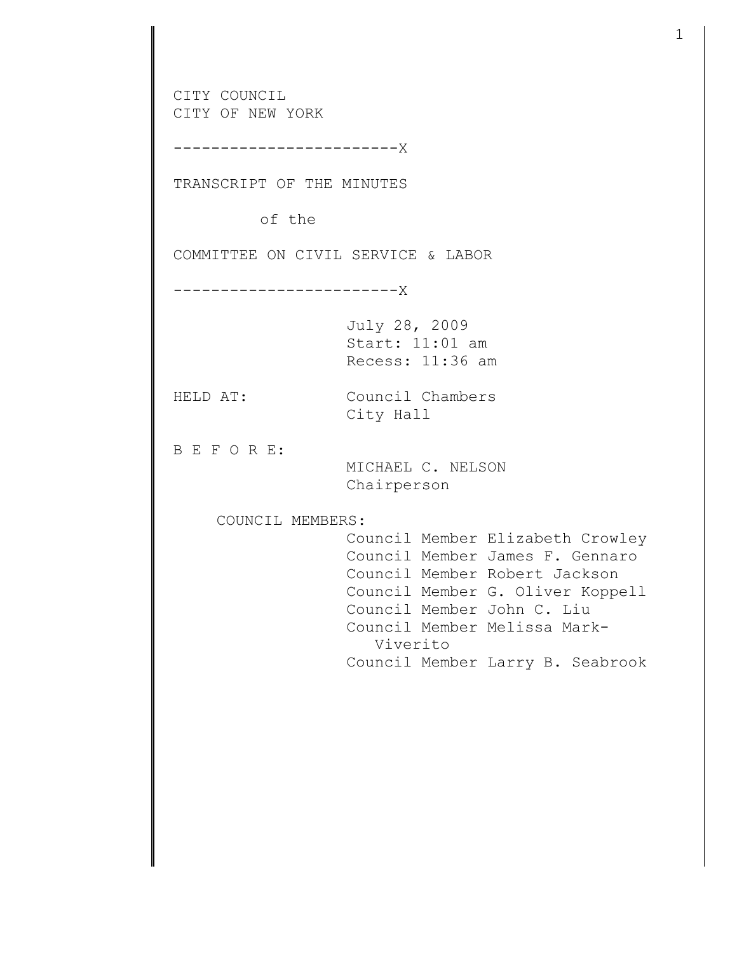CITY COUNCIL CITY OF NEW YORK ------------------------X TRANSCRIPT OF THE MINUTES of the COMMITTEE ON CIVIL SERVICE & LABOR ------------------------X July 28, 2009 Start: 11:01 am Recess: 11:36 am HELD AT: Council Chambers City Hall B E F O R E: MICHAEL C. NELSON Chairperson COUNCIL MEMBERS: Council Member Elizabeth Crowley Council Member James F. Gennaro Council Member Robert Jackson Council Member G. Oliver Koppell Council Member John C. Liu Council Member Melissa Mark- Viverito Council Member Larry B. Seabrook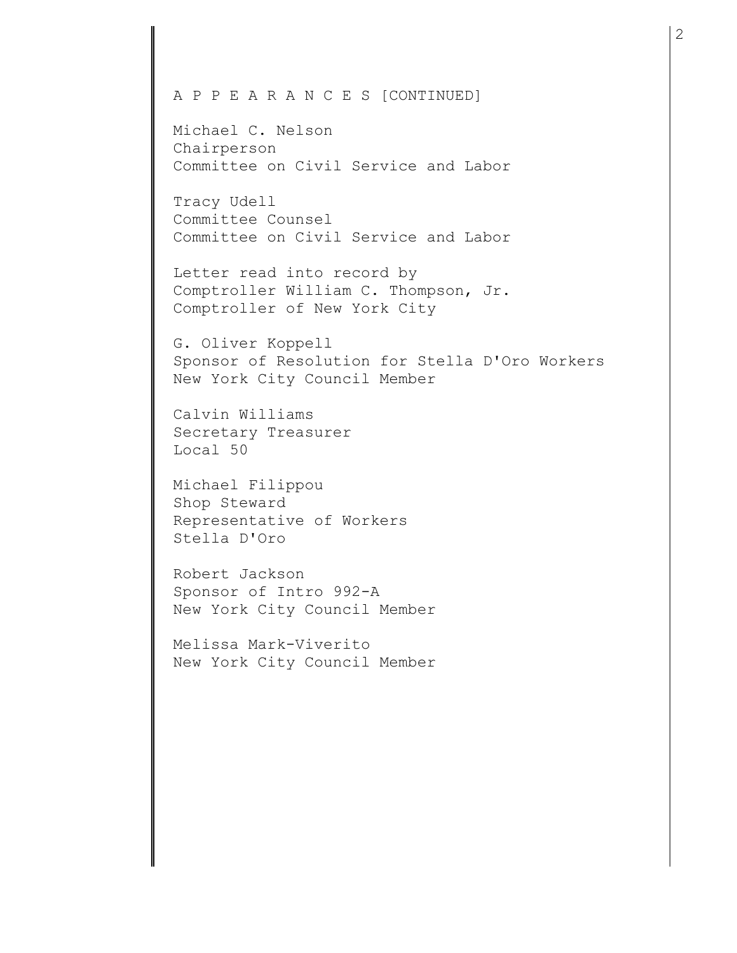## A P P E A R A N C E S [CONTINUED]

Michael C. Nelson Chairperson Committee on Civil Service and Labor

Tracy Udell Committee Counsel Committee on Civil Service and Labor

Letter read into record by Comptroller William C. Thompson, Jr. Comptroller of New York City

G. Oliver Koppell Sponsor of Resolution for Stella D'Oro Workers New York City Council Member

Calvin Williams Secretary Treasurer Local 50

Michael Filippou Shop Steward Representative of Workers Stella D'Oro

Robert Jackson Sponsor of Intro 992-A New York City Council Member

Melissa Mark-Viverito New York City Council Member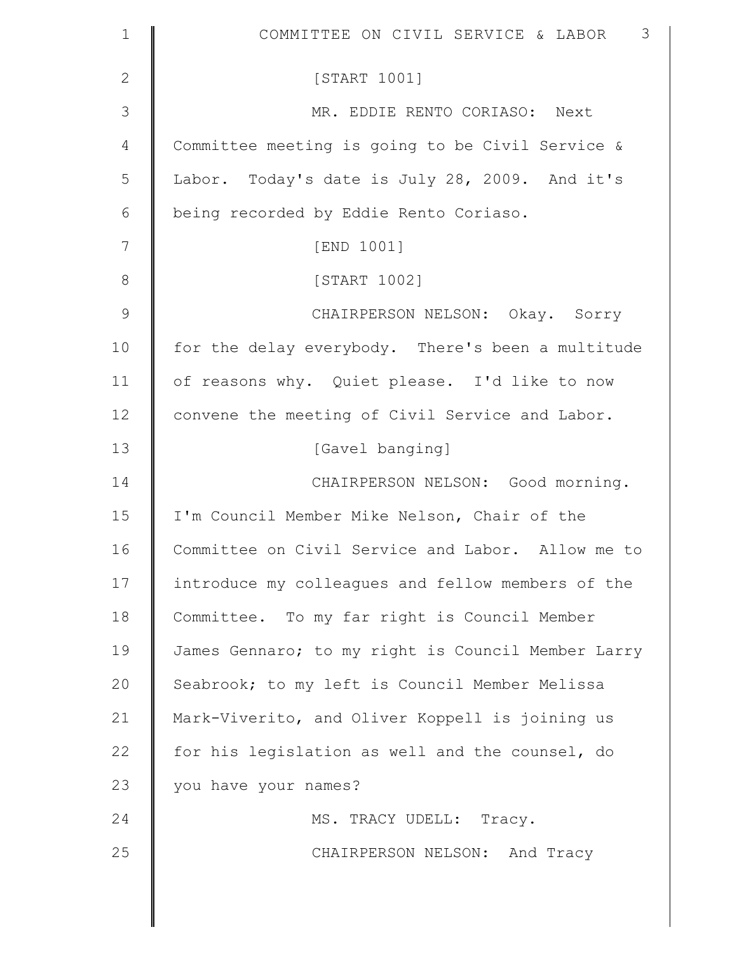| $\mathbf 1$   | 3<br>COMMITTEE ON CIVIL SERVICE & LABOR            |
|---------------|----------------------------------------------------|
| $\mathbf{2}$  | [START 1001]                                       |
| $\mathcal{S}$ | MR. EDDIE RENTO CORIASO: Next                      |
| 4             | Committee meeting is going to be Civil Service &   |
| 5             | Labor. Today's date is July 28, 2009. And it's     |
| 6             | being recorded by Eddie Rento Coriaso.             |
| 7             | [END 1001]                                         |
| $8\,$         | [START 1002]                                       |
| $\mathsf 9$   | CHAIRPERSON NELSON: Okay. Sorry                    |
| 10            | for the delay everybody. There's been a multitude  |
| 11            | of reasons why. Quiet please. I'd like to now      |
| 12            | convene the meeting of Civil Service and Labor.    |
| 13            | [Gavel banging]                                    |
| 14            | CHAIRPERSON NELSON: Good morning.                  |
| 15            | I'm Council Member Mike Nelson, Chair of the       |
| 16            | Committee on Civil Service and Labor. Allow me to  |
| 17            | introduce my colleagues and fellow members of the  |
| 18            | Committee. To my far right is Council Member       |
| 19            | James Gennaro; to my right is Council Member Larry |
| 20            | Seabrook; to my left is Council Member Melissa     |
| 21            | Mark-Viverito, and Oliver Koppell is joining us    |
| 22            | for his legislation as well and the counsel, do    |
| 23            | you have your names?                               |
| 24            | MS. TRACY UDELL: Tracy.                            |
| 25            | CHAIRPERSON NELSON: And Tracy                      |
|               |                                                    |
|               |                                                    |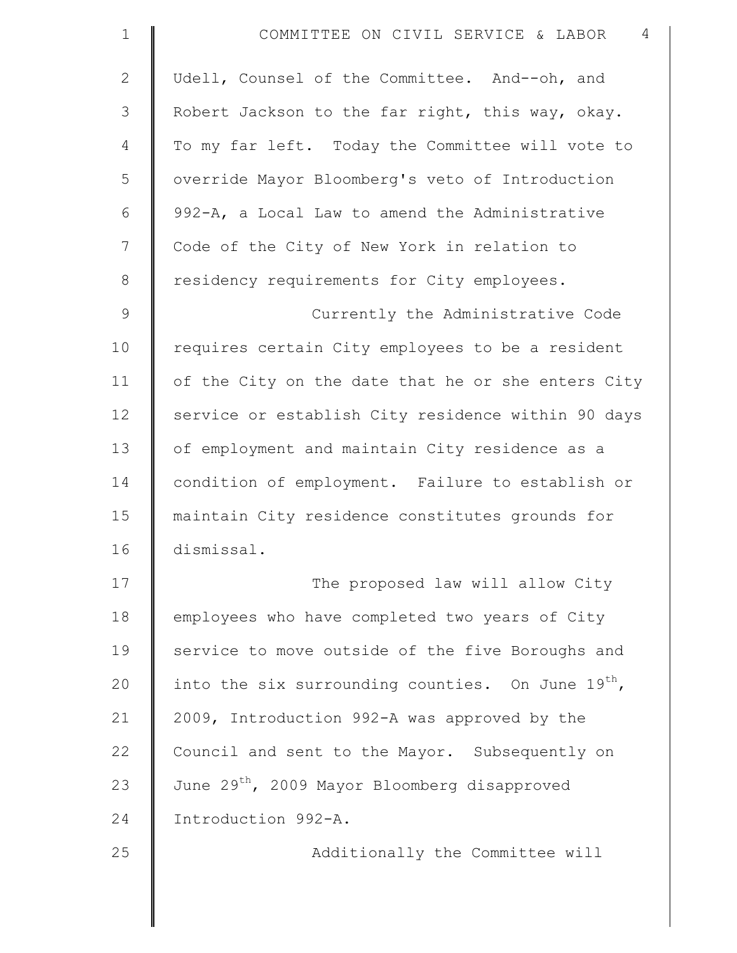| $\mathbf 1$   | 4<br>COMMITTEE ON CIVIL SERVICE & LABOR                  |
|---------------|----------------------------------------------------------|
| $\mathbf{2}$  | Udell, Counsel of the Committee. And--oh, and            |
| 3             | Robert Jackson to the far right, this way, okay.         |
| 4             | To my far left. Today the Committee will vote to         |
| 5             | override Mayor Bloomberg's veto of Introduction          |
| 6             | 992-A, a Local Law to amend the Administrative           |
| 7             | Code of the City of New York in relation to              |
| $\,8\,$       | residency requirements for City employees.               |
| $\mathcal{G}$ | Currently the Administrative Code                        |
| 10            | requires certain City employees to be a resident         |
| 11            | of the City on the date that he or she enters City       |
| 12            | service or establish City residence within 90 days       |
| 13            | of employment and maintain City residence as a           |
| 14            | condition of employment. Failure to establish or         |
| 15            | maintain City residence constitutes grounds for          |
| 16            | dismissal.                                               |
| 17            | The proposed law will allow City                         |
| 18            | employees who have completed two years of City           |
| 19            | service to move outside of the five Boroughs and         |
| 20            | into the six surrounding counties. On June 19th,         |
| 21            | 2009, Introduction 992-A was approved by the             |
| 22            | Council and sent to the Mayor. Subsequently on           |
| 23            | June 29 <sup>th</sup> , 2009 Mayor Bloomberg disapproved |
| 24            | Introduction 992-A.                                      |
| 25            | Additionally the Committee will                          |
|               |                                                          |
|               |                                                          |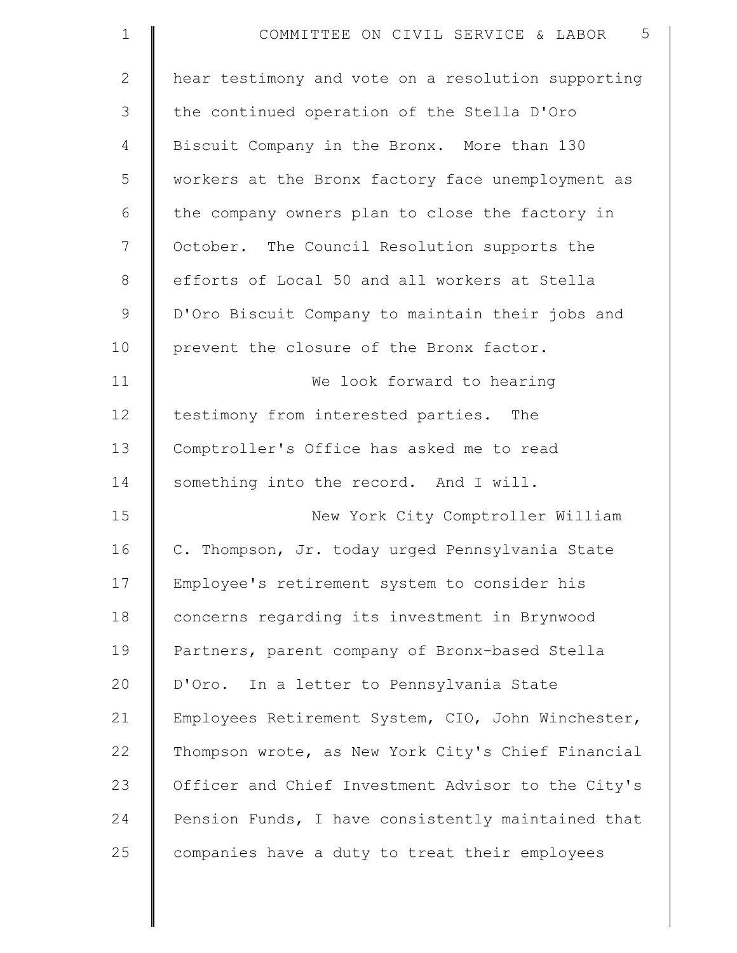| $\mathbf 1$    | 5<br>COMMITTEE ON CIVIL SERVICE & LABOR            |
|----------------|----------------------------------------------------|
| $\overline{2}$ | hear testimony and vote on a resolution supporting |
| 3              | the continued operation of the Stella D'Oro        |
| $\overline{4}$ | Biscuit Company in the Bronx. More than 130        |
| 5              | workers at the Bronx factory face unemployment as  |
| 6              | the company owners plan to close the factory in    |
| 7              | October. The Council Resolution supports the       |
| 8              | efforts of Local 50 and all workers at Stella      |
| $\mathsf 9$    | D'Oro Biscuit Company to maintain their jobs and   |
| 10             | prevent the closure of the Bronx factor.           |
| 11             | We look forward to hearing                         |
| 12             | testimony from interested parties. The             |
| 13             | Comptroller's Office has asked me to read          |
| 14             | something into the record. And I will.             |
| 15             | New York City Comptroller William                  |
| 16             | C. Thompson, Jr. today urged Pennsylvania State    |
| 17             | Employee's retirement system to consider his       |
| 18             | concerns regarding its investment in Brynwood      |
| 19             | Partners, parent company of Bronx-based Stella     |
| 20             | D'Oro. In a letter to Pennsylvania State           |
| 21             | Employees Retirement System, CIO, John Winchester, |
| 22             | Thompson wrote, as New York City's Chief Financial |
| 23             | Officer and Chief Investment Advisor to the City's |
| 24             | Pension Funds, I have consistently maintained that |
| 25             | companies have a duty to treat their employees     |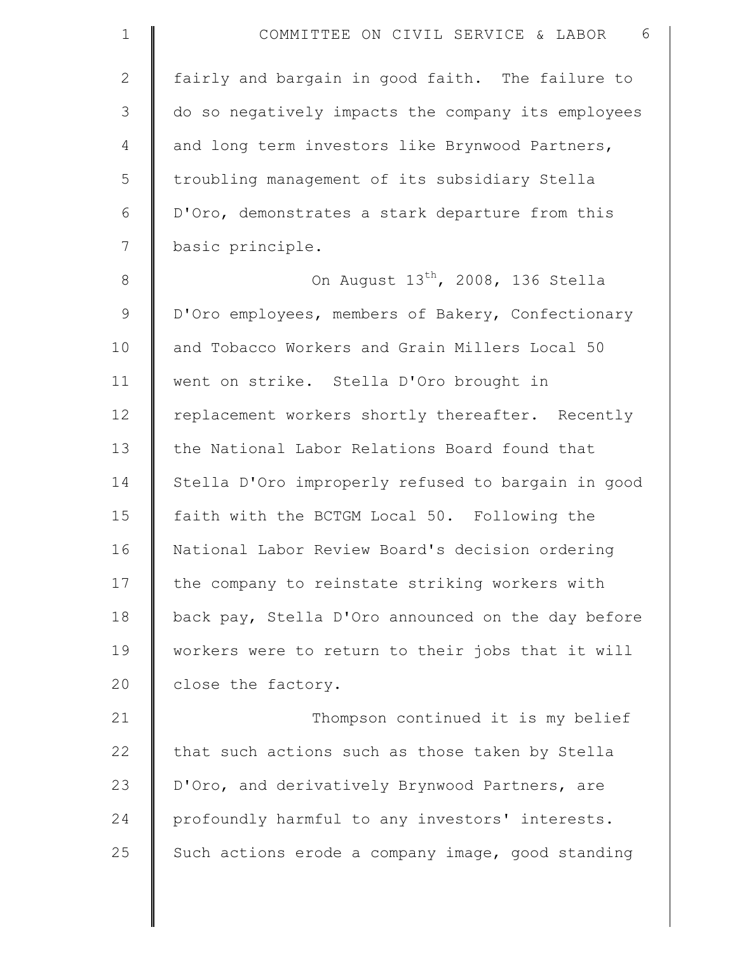| $\mathbf{1}$ | COMMITTEE ON CIVIL SERVICE & LABOR<br>6            |
|--------------|----------------------------------------------------|
| $\mathbf{2}$ | fairly and bargain in good faith. The failure to   |
| 3            | do so negatively impacts the company its employees |
| 4            | and long term investors like Brynwood Partners,    |
| 5            | troubling management of its subsidiary Stella      |
| 6            | D'Oro, demonstrates a stark departure from this    |
| 7            | basic principle.                                   |
| $\,8\,$      | On August 13 <sup>th</sup> , 2008, 136 Stella      |
| 9            | D'Oro employees, members of Bakery, Confectionary  |
| 10           | and Tobacco Workers and Grain Millers Local 50     |
| 11           | went on strike. Stella D'Oro brought in            |
| 12           | replacement workers shortly thereafter. Recently   |
| 13           | the National Labor Relations Board found that      |
| 14           | Stella D'Oro improperly refused to bargain in good |
| 15           | faith with the BCTGM Local 50. Following the       |
| 16           | National Labor Review Board's decision ordering    |
| 17           | the company to reinstate striking workers with     |
| 18           | back pay, Stella D'Oro announced on the day before |
| 19           | workers were to return to their jobs that it will  |
| 20           | close the factory.                                 |
| 21           | Thompson continued it is my belief                 |
| 22           | that such actions such as those taken by Stella    |
| 23           | D'Oro, and derivatively Brynwood Partners, are     |
| 24           | profoundly harmful to any investors' interests.    |
| 25           | Such actions erode a company image, good standing  |
|              |                                                    |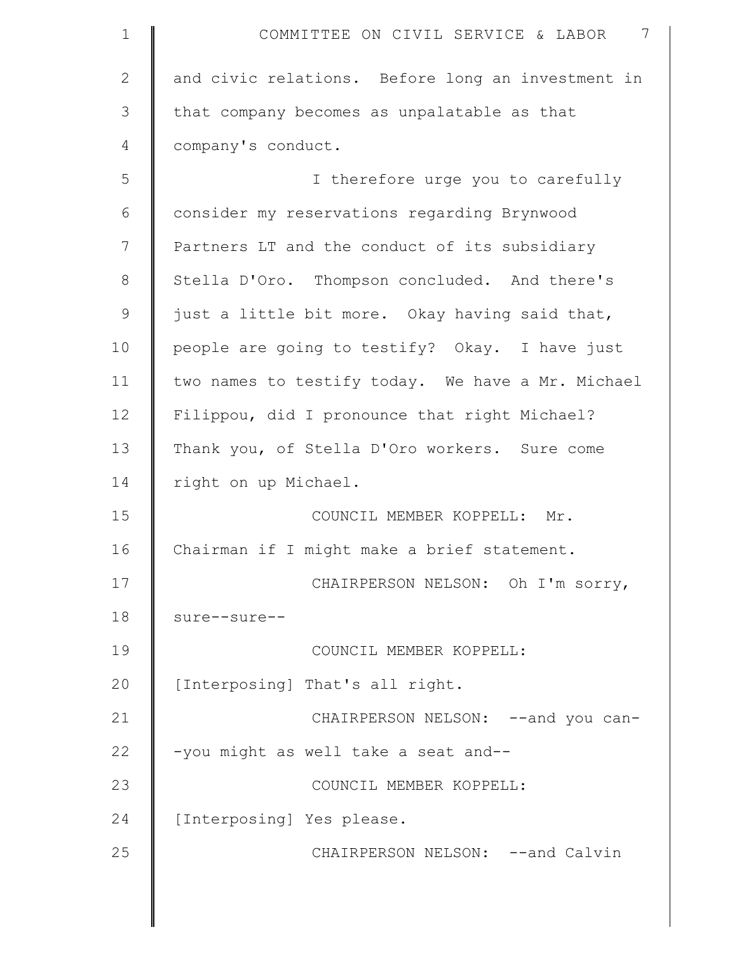| $\mathbf 1$  | 7<br>COMMITTEE ON CIVIL SERVICE & LABOR           |
|--------------|---------------------------------------------------|
| $\mathbf{2}$ | and civic relations. Before long an investment in |
| 3            | that company becomes as unpalatable as that       |
| 4            | company's conduct.                                |
| 5            | I therefore urge you to carefully                 |
| 6            | consider my reservations regarding Brynwood       |
| 7            | Partners LT and the conduct of its subsidiary     |
| $8\,$        | Stella D'Oro. Thompson concluded. And there's     |
| $\mathsf 9$  | just a little bit more. Okay having said that,    |
| 10           | people are going to testify? Okay. I have just    |
| 11           | two names to testify today. We have a Mr. Michael |
| 12           | Filippou, did I pronounce that right Michael?     |
| 13           | Thank you, of Stella D'Oro workers. Sure come     |
| 14           | right on up Michael.                              |
| 15           | COUNCIL MEMBER KOPPELL: Mr.                       |
| 16           | Chairman if I might make a brief statement.       |
| 17           | CHAIRPERSON NELSON: Oh I'm sorry,                 |
| 18           | sure--sure--                                      |
| 19           | COUNCIL MEMBER KOPPELL:                           |
| 20           | [Interposing] That's all right.                   |
| 21           | CHAIRPERSON NELSON: -- and you can-               |
| 22           | -you might as well take a seat and--              |
| 23           | COUNCIL MEMBER KOPPELL:                           |
| 24           | [Interposing] Yes please.                         |
| 25           | CHAIRPERSON NELSON: --and Calvin                  |
|              |                                                   |

║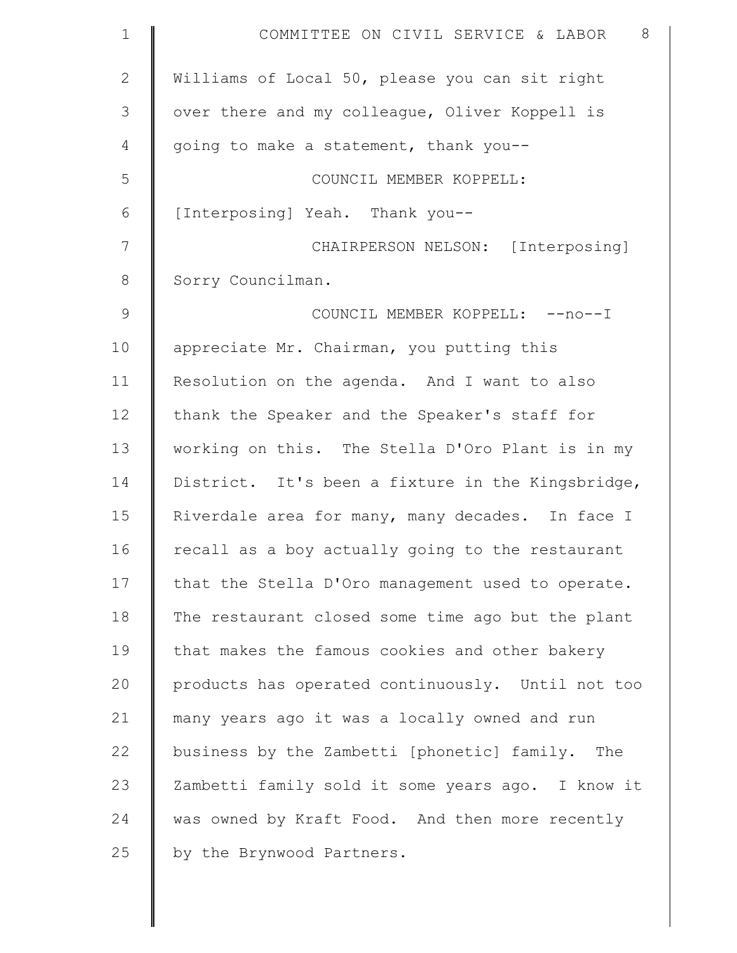| $\mathbf 1$  | 8<br>COMMITTEE ON CIVIL SERVICE & LABOR           |
|--------------|---------------------------------------------------|
| $\mathbf{2}$ | Williams of Local 50, please you can sit right    |
| 3            | over there and my colleague, Oliver Koppell is    |
| 4            | going to make a statement, thank you--            |
| 5            | COUNCIL MEMBER KOPPELL:                           |
| 6            | [Interposing] Yeah. Thank you--                   |
| 7            | CHAIRPERSON NELSON: [Interposing]                 |
| $8\,$        | Sorry Councilman.                                 |
| $\mathsf 9$  | COUNCIL MEMBER KOPPELL: -- no--I                  |
| 10           | appreciate Mr. Chairman, you putting this         |
| 11           | Resolution on the agenda. And I want to also      |
| 12           | thank the Speaker and the Speaker's staff for     |
| 13           | working on this. The Stella D'Oro Plant is in my  |
| 14           | District. It's been a fixture in the Kingsbridge, |
| 15           | Riverdale area for many, many decades. In face I  |
| 16           | recall as a boy actually going to the restaurant  |
| 17           | that the Stella D'Oro management used to operate. |
| 18           | The restaurant closed some time ago but the plant |
| 19           | that makes the famous cookies and other bakery    |
| 20           | products has operated continuously. Until not too |
| 21           | many years ago it was a locally owned and run     |
| 22           | business by the Zambetti [phonetic] family. The   |
| 23           | Zambetti family sold it some years ago. I know it |
| 24           | was owned by Kraft Food. And then more recently   |
| 25           | by the Brynwood Partners.                         |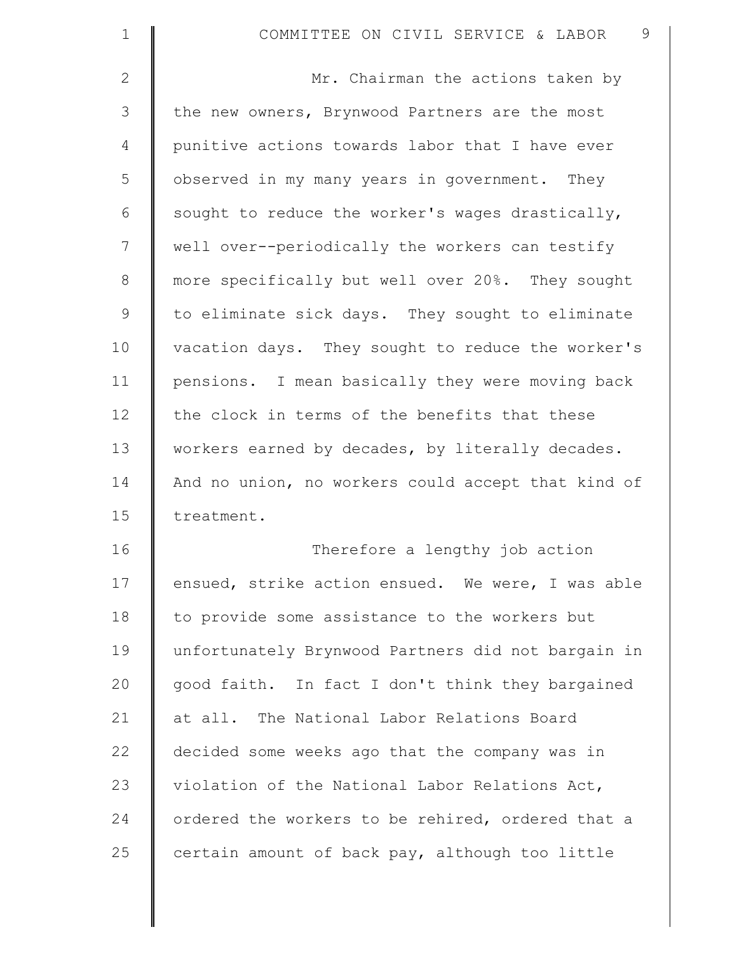| $\mathbf 1$  | 9<br>COMMITTEE ON CIVIL SERVICE & LABOR            |
|--------------|----------------------------------------------------|
| $\mathbf{2}$ | Mr. Chairman the actions taken by                  |
| 3            | the new owners, Brynwood Partners are the most     |
| 4            | punitive actions towards labor that I have ever    |
| 5            | observed in my many years in government. They      |
| 6            | sought to reduce the worker's wages drastically,   |
| 7            | well over--periodically the workers can testify    |
| $8\,$        | more specifically but well over 20%. They sought   |
| $\mathsf 9$  | to eliminate sick days. They sought to eliminate   |
| 10           | vacation days. They sought to reduce the worker's  |
| 11           | pensions. I mean basically they were moving back   |
| 12           | the clock in terms of the benefits that these      |
| 13           | workers earned by decades, by literally decades.   |
| 14           | And no union, no workers could accept that kind of |
| 15           | treatment.                                         |
| 16           | Therefore a lengthy job action                     |
| 17           | ensued, strike action ensued. We were, I was able  |
| 18           | to provide some assistance to the workers but      |
| 19           | unfortunately Brynwood Partners did not bargain in |
| 20           | good faith. In fact I don't think they bargained   |
| 21           | at all. The National Labor Relations Board         |
| 22           | decided some weeks ago that the company was in     |
| 23           | violation of the National Labor Relations Act,     |
| 24           | ordered the workers to be rehired, ordered that a  |
| 25           | certain amount of back pay, although too little    |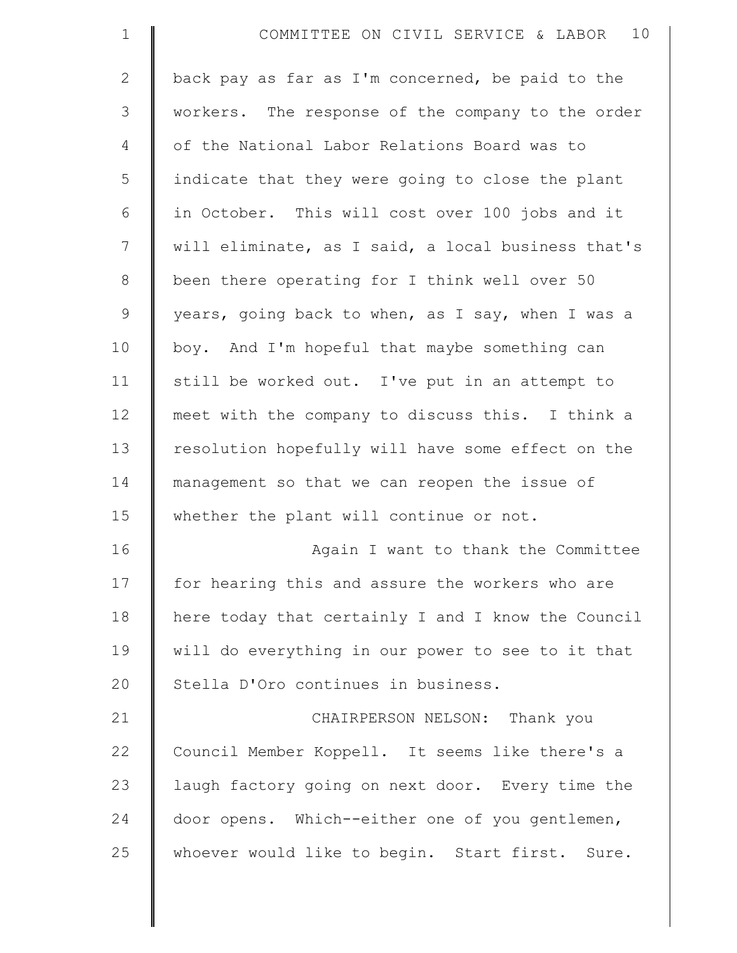| $\mathbf 1$  | 10<br>COMMITTEE ON CIVIL SERVICE & LABOR           |
|--------------|----------------------------------------------------|
| $\mathbf{2}$ | back pay as far as I'm concerned, be paid to the   |
| 3            | workers. The response of the company to the order  |
| 4            | of the National Labor Relations Board was to       |
| 5            | indicate that they were going to close the plant   |
| 6            | in October. This will cost over 100 jobs and it    |
| 7            | will eliminate, as I said, a local business that's |
| $\,8\,$      | been there operating for I think well over 50      |
| $\mathsf 9$  | years, going back to when, as I say, when I was a  |
| 10           | boy. And I'm hopeful that maybe something can      |
| 11           | still be worked out. I've put in an attempt to     |
| 12           | meet with the company to discuss this. I think a   |
| 13           | resolution hopefully will have some effect on the  |
| 14           | management so that we can reopen the issue of      |
| 15           | whether the plant will continue or not.            |
| 16           | Again I want to thank the Committee                |
| 17           | for hearing this and assure the workers who are    |
| 18           | here today that certainly I and I know the Council |
| 19           | will do everything in our power to see to it that  |
| 20           | Stella D'Oro continues in business.                |
| 21           | CHAIRPERSON NELSON: Thank you                      |
| 22           | Council Member Koppell. It seems like there's a    |
| 23           | laugh factory going on next door. Every time the   |
| 24           | door opens. Which--either one of you gentlemen,    |
| 25           | whoever would like to begin. Start first. Sure.    |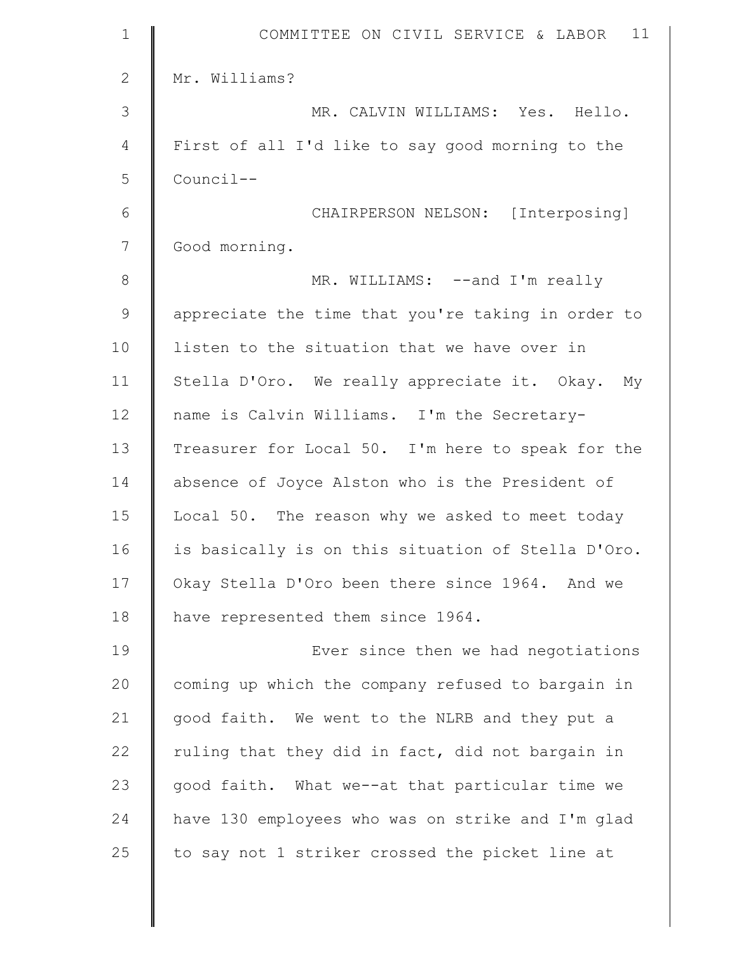| $\mathbf 1$  | 11<br>COMMITTEE ON CIVIL SERVICE & LABOR           |
|--------------|----------------------------------------------------|
| $\mathbf{2}$ | Mr. Williams?                                      |
| 3            | MR. CALVIN WILLIAMS: Yes. Hello.                   |
| 4            | First of all I'd like to say good morning to the   |
| 5            | Council--                                          |
| 6            | CHAIRPERSON NELSON: [Interposing]                  |
| 7            | Good morning.                                      |
| $8\,$        | MR. WILLIAMS: --and I'm really                     |
| $\mathsf 9$  | appreciate the time that you're taking in order to |
| 10           | listen to the situation that we have over in       |
| 11           | Stella D'Oro. We really appreciate it. Okay. My    |
| 12           | name is Calvin Williams. I'm the Secretary-        |
| 13           | Treasurer for Local 50. I'm here to speak for the  |
| 14           | absence of Joyce Alston who is the President of    |
| 15           | Local 50. The reason why we asked to meet today    |
| 16           | is basically is on this situation of Stella D'Oro. |
| 17           | Okay Stella D'Oro been there since 1964. And we    |
| 18           | have represented them since 1964.                  |
| 19           | Ever since then we had negotiations                |
| 20           | coming up which the company refused to bargain in  |
| 21           | good faith. We went to the NLRB and they put a     |
| 22           | ruling that they did in fact, did not bargain in   |
| 23           | good faith. What we--at that particular time we    |
| 24           | have 130 employees who was on strike and I'm glad  |
| 25           | to say not 1 striker crossed the picket line at    |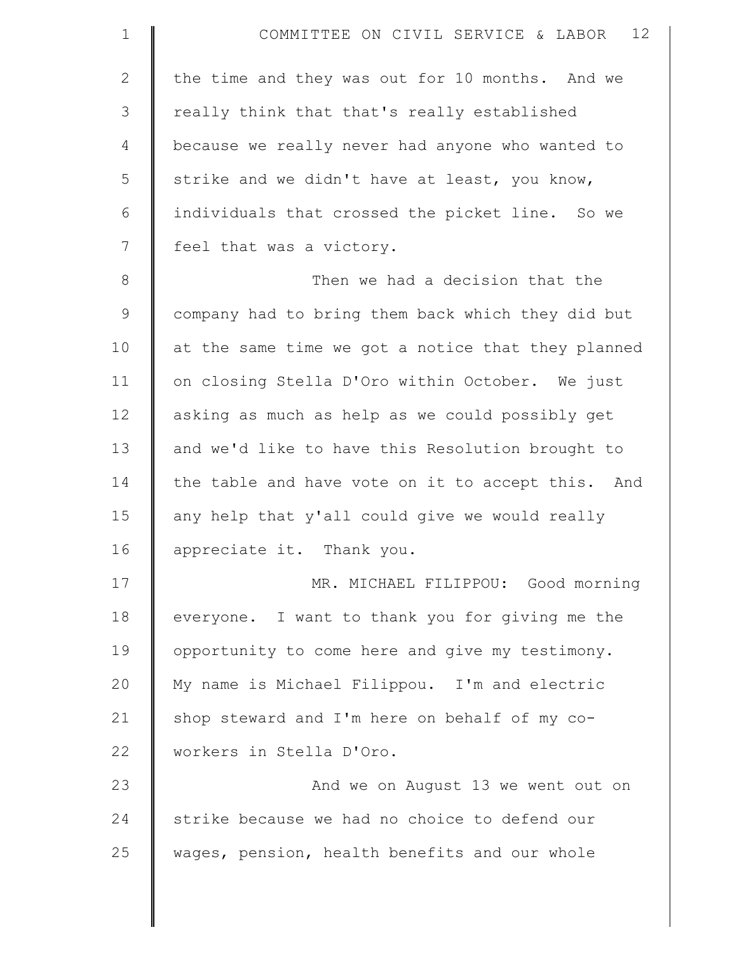| $\mathbf{1}$   | 12<br>COMMITTEE ON CIVIL SERVICE & LABOR           |
|----------------|----------------------------------------------------|
| $\mathbf{2}$   | the time and they was out for 10 months. And we    |
| $\mathfrak{Z}$ | really think that that's really established        |
| 4              | because we really never had anyone who wanted to   |
| 5              | strike and we didn't have at least, you know,      |
| 6              | individuals that crossed the picket line. So we    |
| 7              | feel that was a victory.                           |
| $\,8\,$        | Then we had a decision that the                    |
| $\mathsf 9$    | company had to bring them back which they did but  |
| 10             | at the same time we got a notice that they planned |
| 11             | on closing Stella D'Oro within October. We just    |
| 12             | asking as much as help as we could possibly get    |
| 13             | and we'd like to have this Resolution brought to   |
| 14             | the table and have vote on it to accept this. And  |
| 15             | any help that y'all could give we would really     |
| 16             | appreciate it. Thank you.                          |
| 17             | MR. MICHAEL FILIPPOU: Good morning                 |
| 18             | everyone. I want to thank you for giving me the    |
| 19             | opportunity to come here and give my testimony.    |
| 20             | My name is Michael Filippou. I'm and electric      |
| 21             | shop steward and I'm here on behalf of my co-      |
| 22             | workers in Stella D'Oro.                           |
| 23             | And we on August 13 we went out on                 |
| 24             | strike because we had no choice to defend our      |
| 25             | wages, pension, health benefits and our whole      |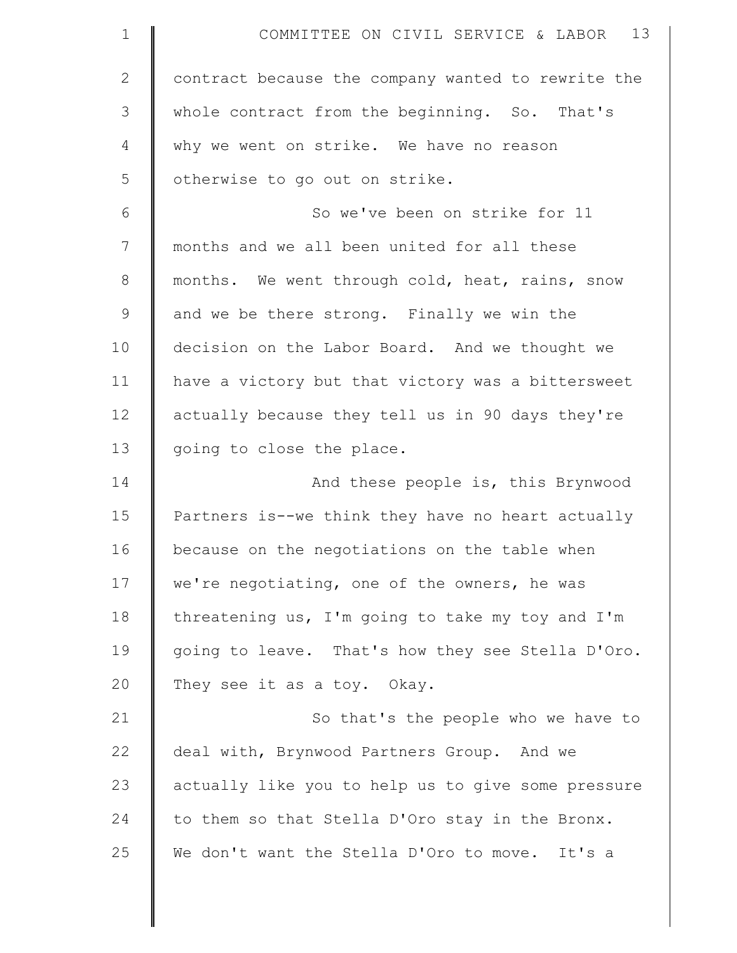| $\mathbf 1$  | COMMITTEE ON CIVIL SERVICE & LABOR 13              |
|--------------|----------------------------------------------------|
| $\mathbf{2}$ | contract because the company wanted to rewrite the |
| 3            | whole contract from the beginning. So. That's      |
| 4            | why we went on strike. We have no reason           |
| 5            | otherwise to go out on strike.                     |
| 6            | So we've been on strike for 11                     |
| 7            | months and we all been united for all these        |
| $8\,$        | months. We went through cold, heat, rains, snow    |
| 9            | and we be there strong. Finally we win the         |
| 10           | decision on the Labor Board. And we thought we     |
| 11           | have a victory but that victory was a bittersweet  |
| 12           | actually because they tell us in 90 days they're   |
| 13           | going to close the place.                          |
| 14           | And these people is, this Brynwood                 |
| 15           | Partners is--we think they have no heart actually  |
| 16           | because on the negotiations on the table when      |
| 17           | we're negotiating, one of the owners, he was       |
| 18           | threatening us, I'm going to take my toy and I'm   |
| 19           | going to leave. That's how they see Stella D'Oro.  |
| 20           | They see it as a toy. Okay.                        |
| 21           | So that's the people who we have to                |
| 22           | deal with, Brynwood Partners Group. And we         |
| 23           | actually like you to help us to give some pressure |
| 24           | to them so that Stella D'Oro stay in the Bronx.    |
| 25           | We don't want the Stella D'Oro to move. It's a     |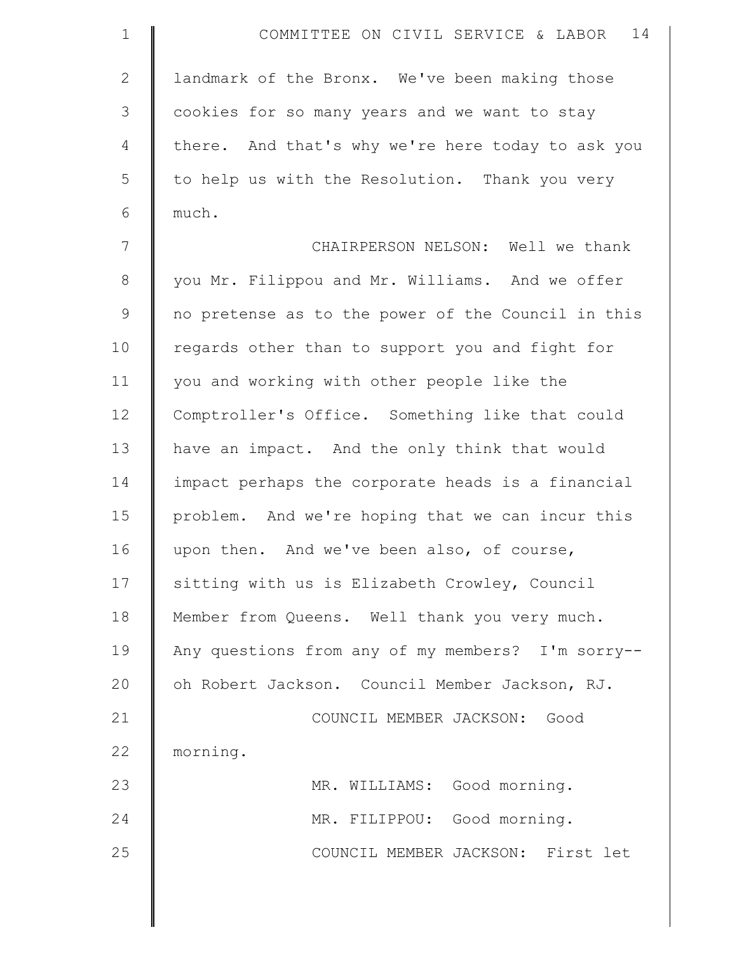| $\mathbf{1}$  | 14<br>COMMITTEE ON CIVIL SERVICE & LABOR           |
|---------------|----------------------------------------------------|
| $\mathbf{2}$  | landmark of the Bronx. We've been making those     |
| 3             | cookies for so many years and we want to stay      |
| 4             | there. And that's why we're here today to ask you  |
| 5             | to help us with the Resolution. Thank you very     |
| 6             | much.                                              |
| 7             | CHAIRPERSON NELSON: Well we thank                  |
| $8\,$         | you Mr. Filippou and Mr. Williams. And we offer    |
| $\mathcal{G}$ | no pretense as to the power of the Council in this |
| 10            | regards other than to support you and fight for    |
| 11            | you and working with other people like the         |
| 12            | Comptroller's Office. Something like that could    |
| 13            | have an impact. And the only think that would      |
| 14            | impact perhaps the corporate heads is a financial  |
| 15            | problem. And we're hoping that we can incur this   |
| 16            | upon then. And we've been also, of course,         |
| 17            | sitting with us is Elizabeth Crowley, Council      |
| 18            | Member from Queens. Well thank you very much.      |
| 19            | Any questions from any of my members? I'm sorry--  |
| 20            | oh Robert Jackson. Council Member Jackson, RJ.     |
| 21            | COUNCIL MEMBER JACKSON: Good                       |
| 22            | morning.                                           |
| 23            | MR. WILLIAMS: Good morning.                        |
| 24            | MR. FILIPPOU: Good morning.                        |
| 25            | COUNCIL MEMBER JACKSON: First let                  |
|               |                                                    |

 $\parallel$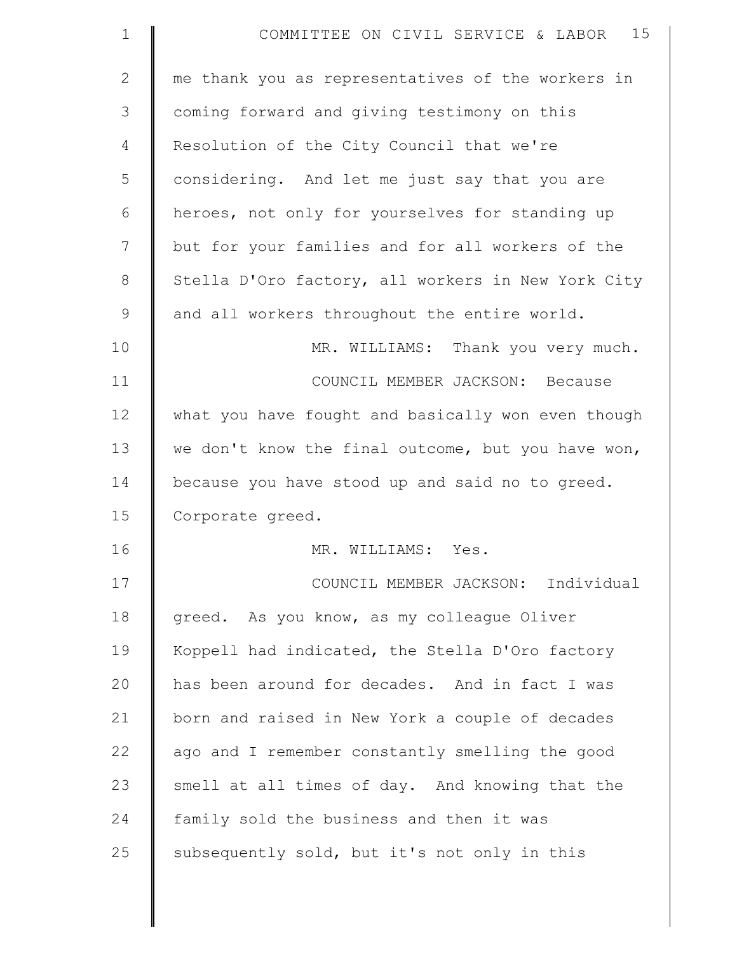| $\mathbf 1$  | 15<br>COMMITTEE ON CIVIL SERVICE & LABOR           |
|--------------|----------------------------------------------------|
| $\mathbf{2}$ | me thank you as representatives of the workers in  |
| 3            | coming forward and giving testimony on this        |
| 4            | Resolution of the City Council that we're          |
| 5            | considering. And let me just say that you are      |
| 6            | heroes, not only for yourselves for standing up    |
| 7            | but for your families and for all workers of the   |
| 8            | Stella D'Oro factory, all workers in New York City |
| 9            | and all workers throughout the entire world.       |
| 10           | MR. WILLIAMS: Thank you very much.                 |
| 11           | COUNCIL MEMBER JACKSON: Because                    |
| 12           | what you have fought and basically won even though |
| 13           | we don't know the final outcome, but you have won, |
| 14           | because you have stood up and said no to greed.    |
| 15           | Corporate greed.                                   |
| 16           | MR. WILLIAMS: Yes.                                 |
| 17           | COUNCIL MEMBER JACKSON: Individual                 |
| 18           | greed. As you know, as my colleague Oliver         |
| 19           | Koppell had indicated, the Stella D'Oro factory    |
| 20           | has been around for decades. And in fact I was     |
| 21           | born and raised in New York a couple of decades    |
| 22           | ago and I remember constantly smelling the good    |
| 23           | smell at all times of day. And knowing that the    |
| 24           | family sold the business and then it was           |
| 25           | subsequently sold, but it's not only in this       |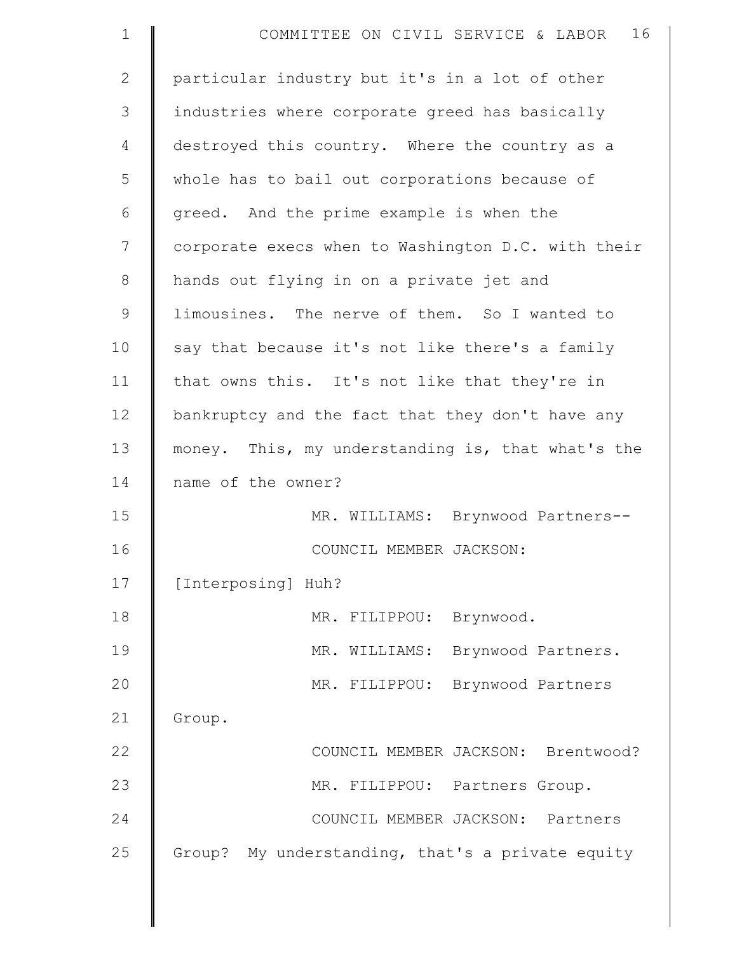| $\mathbf 1$   | 16<br>COMMITTEE ON CIVIL SERVICE & LABOR           |
|---------------|----------------------------------------------------|
| $\mathbf{2}$  | particular industry but it's in a lot of other     |
| 3             | industries where corporate greed has basically     |
| 4             | destroyed this country. Where the country as a     |
| 5             | whole has to bail out corporations because of      |
| 6             | greed. And the prime example is when the           |
| 7             | corporate execs when to Washington D.C. with their |
| $8\,$         | hands out flying in on a private jet and           |
| $\mathcal{G}$ | limousines. The nerve of them. So I wanted to      |
| 10            | say that because it's not like there's a family    |
| 11            | that owns this. It's not like that they're in      |
| 12            | bankruptcy and the fact that they don't have any   |
| 13            | money. This, my understanding is, that what's the  |
| 14            | name of the owner?                                 |
| 15            | MR. WILLIAMS: Brynwood Partners--                  |
| 16            | COUNCIL MEMBER JACKSON:                            |
| 17            | [Interposing] Huh?                                 |
| 18            | MR. FILIPPOU:<br>Brynwood.                         |
| 19            | MR. WILLIAMS:<br>Brynwood Partners.                |
| 20            | MR. FILIPPOU:<br>Brynwood Partners                 |
| 21            | Group.                                             |
| 22            | COUNCIL MEMBER JACKSON: Brentwood?                 |
| 23            | MR. FILIPPOU: Partners Group.                      |
| 24            | COUNCIL MEMBER JACKSON: Partners                   |
| 25            | Group? My understanding, that's a private equity   |
|               |                                                    |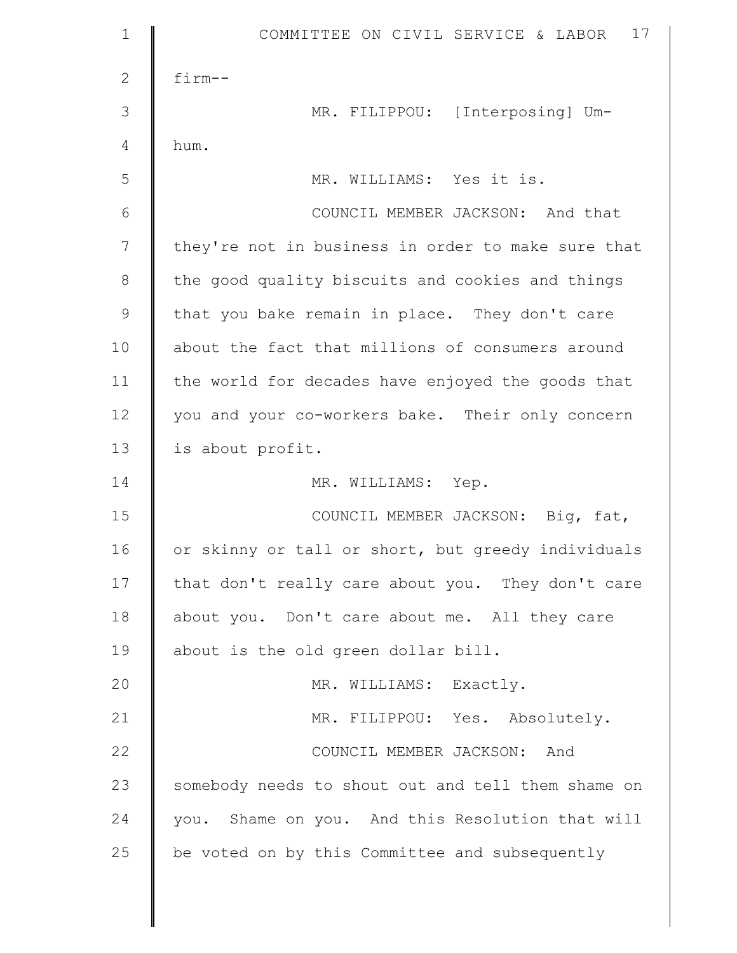| $\mathbf 1$   | 17<br>COMMITTEE ON CIVIL SERVICE & LABOR           |
|---------------|----------------------------------------------------|
| $\mathbf{2}$  | $f\text{im}-$ -                                    |
| 3             | MR. FILIPPOU: [Interposing] Um-                    |
| 4             | hum.                                               |
| 5             | MR. WILLIAMS: Yes it is.                           |
| 6             | COUNCIL MEMBER JACKSON: And that                   |
| 7             | they're not in business in order to make sure that |
| 8             | the good quality biscuits and cookies and things   |
| $\mathcal{G}$ | that you bake remain in place. They don't care     |
| 10            | about the fact that millions of consumers around   |
| 11            | the world for decades have enjoyed the goods that  |
| 12            | you and your co-workers bake. Their only concern   |
| 13            | is about profit.                                   |
|               |                                                    |
| 14            | MR. WILLIAMS: Yep.                                 |
| 15            | COUNCIL MEMBER JACKSON: Big, fat,                  |
| 16            | or skinny or tall or short, but greedy individuals |
| 17            | that don't really care about you. They don't care  |
| 18            | about you. Don't care about me. All they care      |
| 19            | about is the old green dollar bill.                |
| 20            | MR. WILLIAMS: Exactly.                             |
| 21            | MR. FILIPPOU: Yes. Absolutely.                     |
| 22            | COUNCIL MEMBER JACKSON: And                        |
| 23            | somebody needs to shout out and tell them shame on |
| 24            | you. Shame on you. And this Resolution that will   |
| 25            | be voted on by this Committee and subsequently     |

 $\mathsf{I}$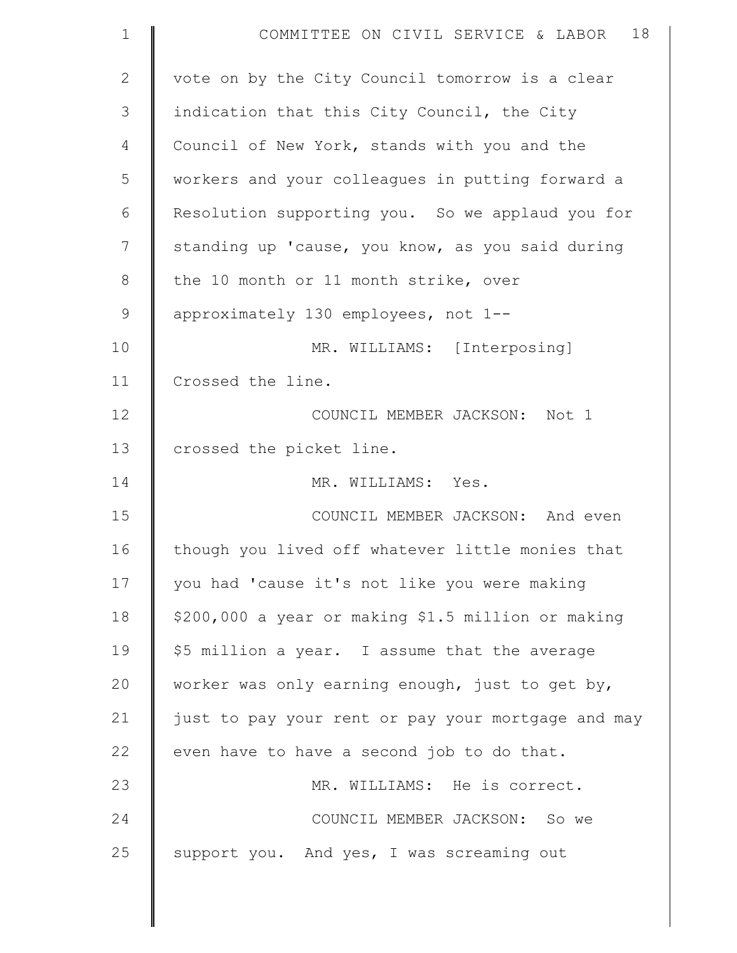| $\mathbf 1$  | 18<br>COMMITTEE ON CIVIL SERVICE & LABOR           |
|--------------|----------------------------------------------------|
| $\mathbf{2}$ | vote on by the City Council tomorrow is a clear    |
| 3            | indication that this City Council, the City        |
| 4            | Council of New York, stands with you and the       |
| 5            | workers and your colleagues in putting forward a   |
| 6            | Resolution supporting you. So we applaud you for   |
| 7            | standing up 'cause, you know, as you said during   |
| 8            | the 10 month or 11 month strike, over              |
| $\mathsf 9$  | approximately 130 employees, not 1--               |
| 10           | MR. WILLIAMS: [Interposing]                        |
| 11           | Crossed the line.                                  |
| 12           | COUNCIL MEMBER JACKSON: Not 1                      |
| 13           | crossed the picket line.                           |
| 14           | MR. WILLIAMS: Yes.                                 |
| 15           | COUNCIL MEMBER JACKSON: And even                   |
| 16           | though you lived off whatever little monies that   |
| 17           | you had 'cause it's not like you were making       |
| 18           | \$200,000 a year or making \$1.5 million or making |
| 19           | \$5 million a year. I assume that the average      |
| 20           | worker was only earning enough, just to get by,    |
| 21           | just to pay your rent or pay your mortgage and may |
| 22           | even have to have a second job to do that.         |
| 23           | MR. WILLIAMS: He is correct.                       |
| 24           | COUNCIL MEMBER JACKSON: So we                      |
| 25           | support you. And yes, I was screaming out          |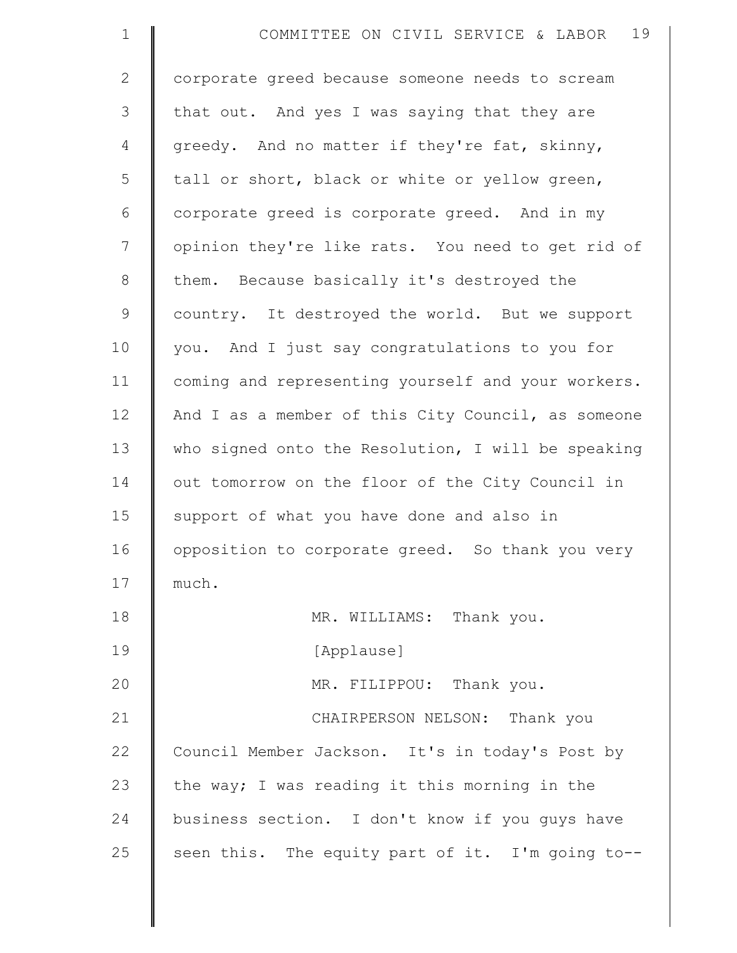| $\mathbf 1$   | 19<br>COMMITTEE ON CIVIL SERVICE & LABOR           |
|---------------|----------------------------------------------------|
| $\mathbf{2}$  | corporate greed because someone needs to scream    |
| 3             | that out. And yes I was saying that they are       |
| 4             | greedy. And no matter if they're fat, skinny,      |
| 5             | tall or short, black or white or yellow green,     |
| $\epsilon$    | corporate greed is corporate greed. And in my      |
| 7             | opinion they're like rats. You need to get rid of  |
| $\,8\,$       | them. Because basically it's destroyed the         |
| $\mathcal{G}$ | country. It destroyed the world. But we support    |
| 10            | you. And I just say congratulations to you for     |
| 11            | coming and representing yourself and your workers. |
| 12            | And I as a member of this City Council, as someone |
| 13            | who signed onto the Resolution, I will be speaking |
| 14            | out tomorrow on the floor of the City Council in   |
| 15            | support of what you have done and also in          |
| 16            | opposition to corporate greed. So thank you very   |
| 17            | much.                                              |
| 18            | MR. WILLIAMS: Thank you.                           |
| 19            | [Applause]                                         |
| 20            | MR. FILIPPOU: Thank you.                           |
| 21            | CHAIRPERSON NELSON: Thank you                      |
| 22            | Council Member Jackson. It's in today's Post by    |
| 23            | the way; I was reading it this morning in the      |
| 24            | business section. I don't know if you guys have    |
| 25            | seen this. The equity part of it. I'm going to--   |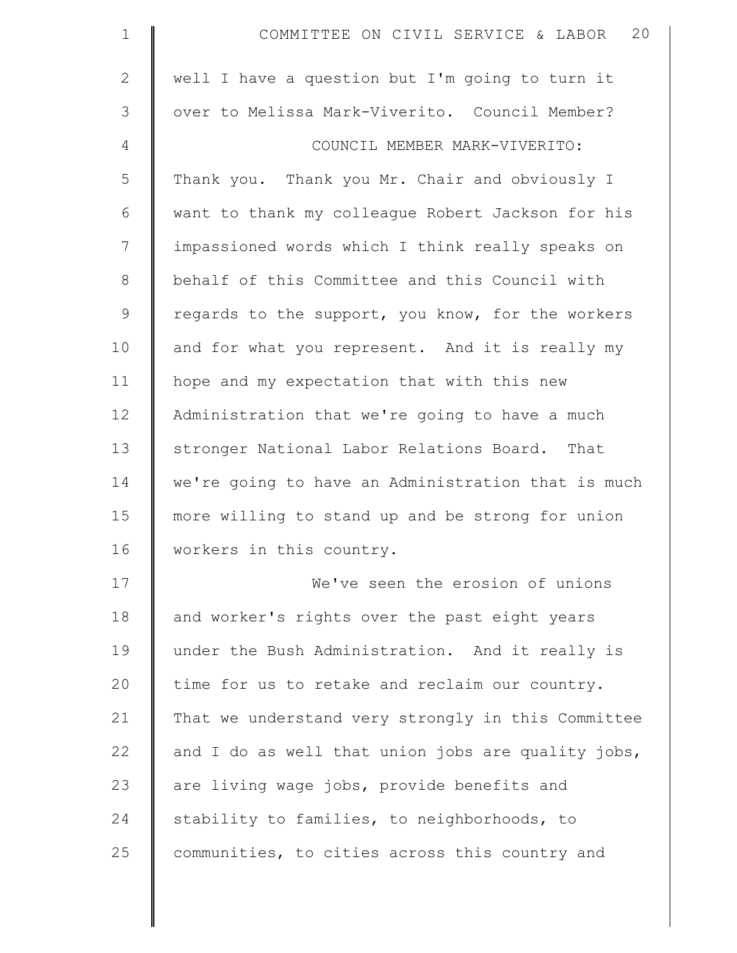| $\mathbf 1$    | 20<br>COMMITTEE ON CIVIL SERVICE & LABOR           |
|----------------|----------------------------------------------------|
| $\overline{2}$ | well I have a question but I'm going to turn it    |
| 3              | over to Melissa Mark-Viverito. Council Member?     |
| 4              | COUNCIL MEMBER MARK-VIVERITO:                      |
| 5              | Thank you. Thank you Mr. Chair and obviously I     |
| 6              | want to thank my colleague Robert Jackson for his  |
| 7              | impassioned words which I think really speaks on   |
| $\,8\,$        | behalf of this Committee and this Council with     |
| $\mathsf 9$    | regards to the support, you know, for the workers  |
| 10             | and for what you represent. And it is really my    |
| 11             | hope and my expectation that with this new         |
| 12             | Administration that we're going to have a much     |
| 13             | stronger National Labor Relations Board. That      |
| 14             | we're going to have an Administration that is much |
| 15             | more willing to stand up and be strong for union   |
| 16             | workers in this country.                           |
| 17             | We've seen the erosion of unions                   |
| 18             | and worker's rights over the past eight years      |
| 19             | under the Bush Administration. And it really is    |
| 20             | time for us to retake and reclaim our country.     |
| 21             | That we understand very strongly in this Committee |
| 22             | and I do as well that union jobs are quality jobs, |
| 23             | are living wage jobs, provide benefits and         |
| 24             | stability to families, to neighborhoods, to        |
| 25             | communities, to cities across this country and     |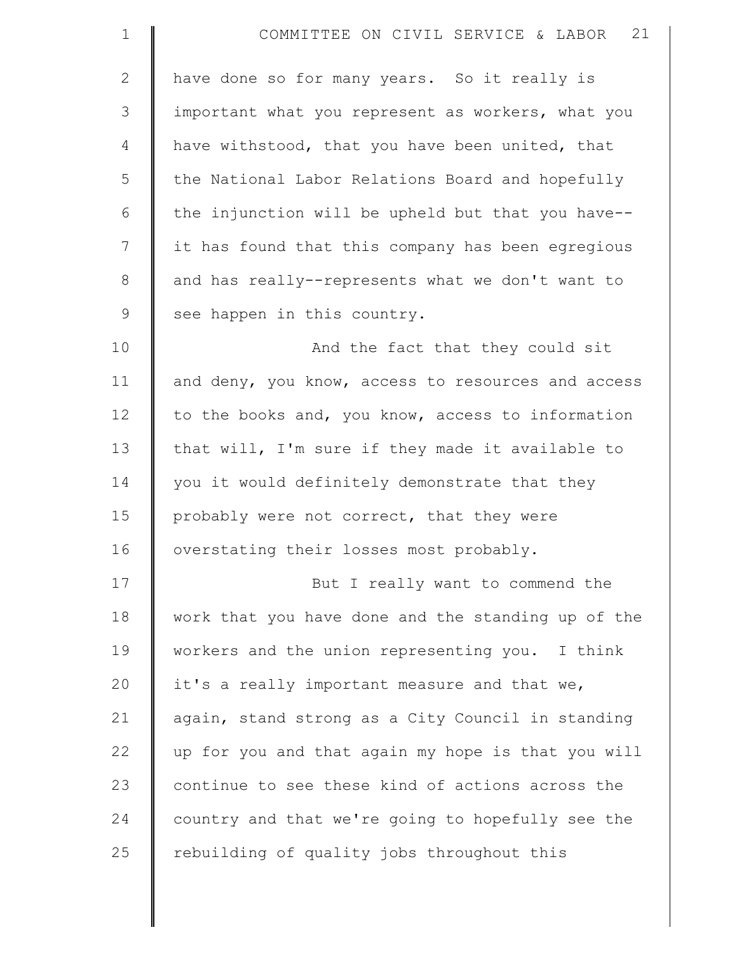| $\mathbf{1}$ | COMMITTEE ON CIVIL SERVICE & LABOR 21              |
|--------------|----------------------------------------------------|
| $\mathbf{2}$ | have done so for many years. So it really is       |
| 3            | important what you represent as workers, what you  |
| 4            | have withstood, that you have been united, that    |
| 5            | the National Labor Relations Board and hopefully   |
| 6            | the injunction will be upheld but that you have--  |
| 7            | it has found that this company has been egregious  |
| $\,8\,$      | and has really--represents what we don't want to   |
| $\mathsf 9$  | see happen in this country.                        |
| 10           | And the fact that they could sit                   |
| 11           | and deny, you know, access to resources and access |
| 12           | to the books and, you know, access to information  |
| 13           | that will, I'm sure if they made it available to   |
| 14           | you it would definitely demonstrate that they      |
| 15           | probably were not correct, that they were          |
| 16           | overstating their losses most probably.            |
| 17           | But I really want to commend the                   |
| 18           | work that you have done and the standing up of the |
| 19           | workers and the union representing you. I think    |
| 20           | it's a really important measure and that we,       |
| 21           | again, stand strong as a City Council in standing  |
| 22           | up for you and that again my hope is that you will |
| 23           | continue to see these kind of actions across the   |
| 24           | country and that we're going to hopefully see the  |
| 25           | rebuilding of quality jobs throughout this         |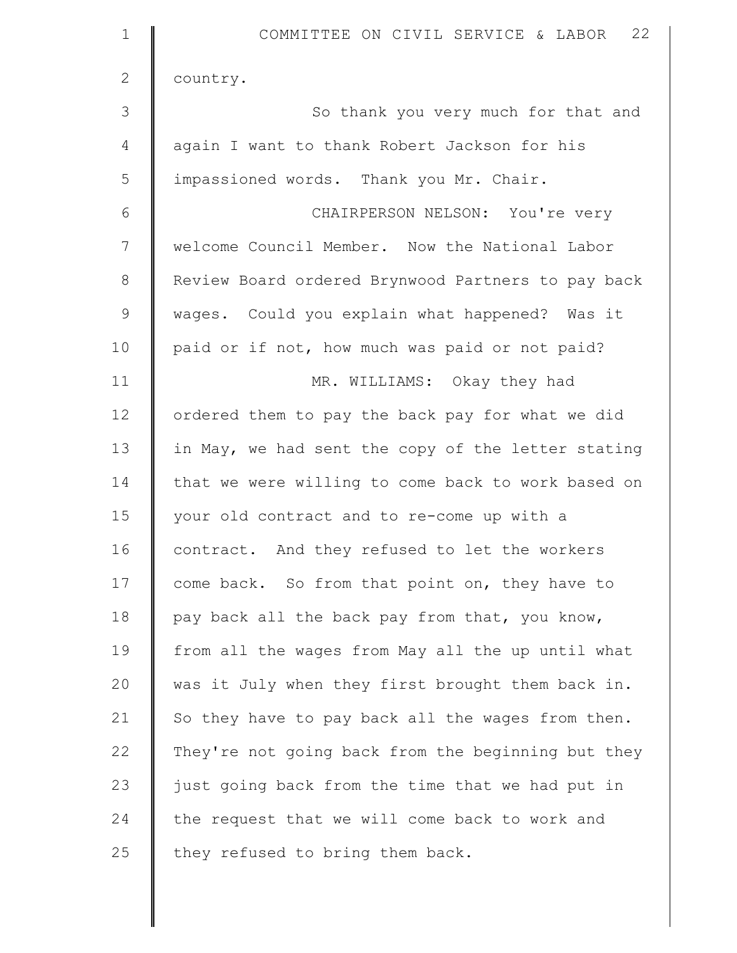| $\mathbf 1$  | COMMITTEE ON CIVIL SERVICE & LABOR 22              |
|--------------|----------------------------------------------------|
| $\mathbf{2}$ | country.                                           |
| 3            | So thank you very much for that and                |
| 4            | again I want to thank Robert Jackson for his       |
| 5            | impassioned words. Thank you Mr. Chair.            |
| 6            | CHAIRPERSON NELSON: You're very                    |
| 7            | welcome Council Member. Now the National Labor     |
| $8\,$        | Review Board ordered Brynwood Partners to pay back |
| 9            | wages. Could you explain what happened? Was it     |
| 10           | paid or if not, how much was paid or not paid?     |
| 11           | MR. WILLIAMS: Okay they had                        |
| 12           | ordered them to pay the back pay for what we did   |
| 13           | in May, we had sent the copy of the letter stating |
| 14           | that we were willing to come back to work based on |
| 15           | your old contract and to re-come up with a         |
| 16           | contract. And they refused to let the workers      |
| 17           | come back. So from that point on, they have to     |
| 18           | pay back all the back pay from that, you know,     |
| 19           | from all the wages from May all the up until what  |
| 20           | was it July when they first brought them back in.  |
| 21           | So they have to pay back all the wages from then.  |
| 22           | They're not going back from the beginning but they |
| 23           | just going back from the time that we had put in   |
| 24           | the request that we will come back to work and     |
| 25           | they refused to bring them back.                   |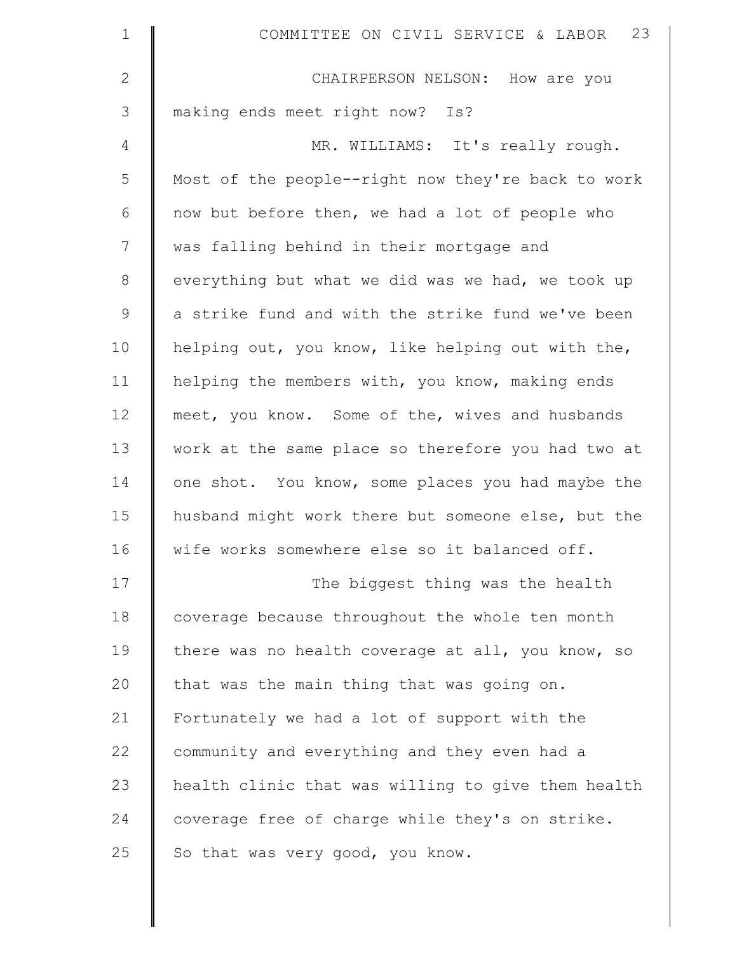| $\mathbf 1$  | 23<br>COMMITTEE ON CIVIL SERVICE & LABOR           |
|--------------|----------------------------------------------------|
| $\mathbf{2}$ | CHAIRPERSON NELSON: How are you                    |
| 3            | making ends meet right now? Is?                    |
| 4            | MR. WILLIAMS: It's really rough.                   |
| 5            | Most of the people--right now they're back to work |
| 6            | now but before then, we had a lot of people who    |
| 7            | was falling behind in their mortgage and           |
| $8\,$        | everything but what we did was we had, we took up  |
| $\mathsf 9$  | a strike fund and with the strike fund we've been  |
| 10           | helping out, you know, like helping out with the,  |
| 11           | helping the members with, you know, making ends    |
| 12           | meet, you know. Some of the, wives and husbands    |
| 13           | work at the same place so therefore you had two at |
| 14           | one shot. You know, some places you had maybe the  |
| 15           | husband might work there but someone else, but the |
| 16           | wife works somewhere else so it balanced off.      |
| 17           | The biggest thing was the health                   |
| 18           | coverage because throughout the whole ten month    |
| 19           | there was no health coverage at all, you know, so  |
| 20           | that was the main thing that was going on.         |
| 21           | Fortunately we had a lot of support with the       |
| 22           | community and everything and they even had a       |
| 23           | health clinic that was willing to give them health |
| 24           | coverage free of charge while they's on strike.    |
| 25           | So that was very good, you know.                   |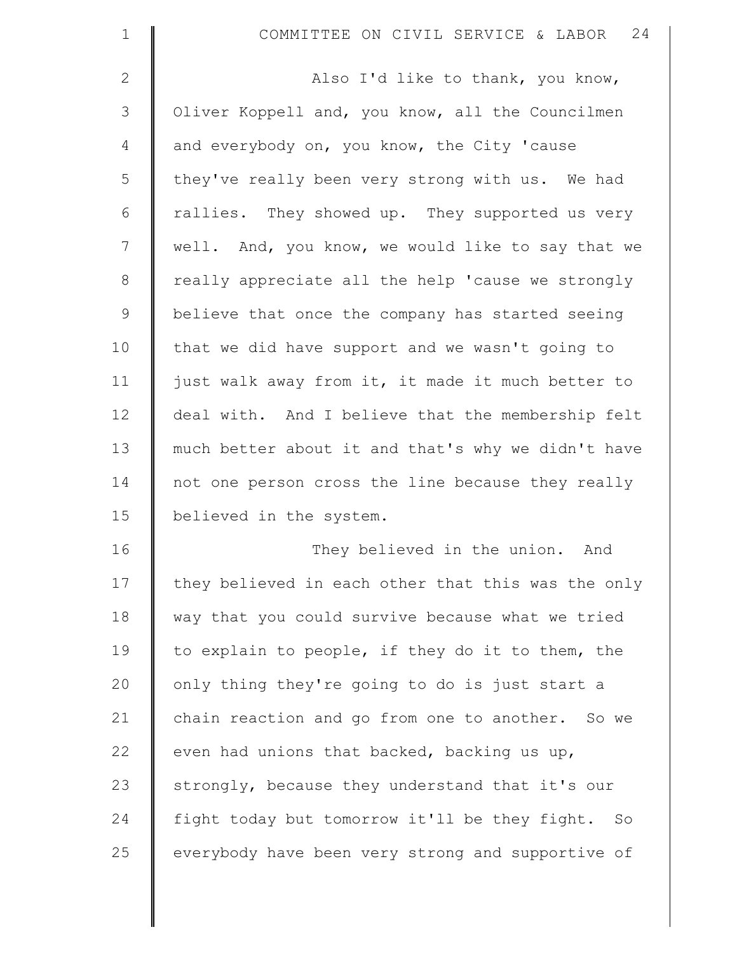| $\mathbf 1$  | COMMITTEE ON CIVIL SERVICE & LABOR 24              |
|--------------|----------------------------------------------------|
| $\mathbf{2}$ | Also I'd like to thank, you know,                  |
| 3            | Oliver Koppell and, you know, all the Councilmen   |
| 4            | and everybody on, you know, the City 'cause        |
| 5            | they've really been very strong with us. We had    |
| 6            | rallies. They showed up. They supported us very    |
| 7            | well. And, you know, we would like to say that we  |
| $8\,$        | really appreciate all the help 'cause we strongly  |
| $\mathsf 9$  | believe that once the company has started seeing   |
| 10           | that we did have support and we wasn't going to    |
| 11           | just walk away from it, it made it much better to  |
| 12           | deal with. And I believe that the membership felt  |
| 13           | much better about it and that's why we didn't have |
| 14           | not one person cross the line because they really  |
| 15           | believed in the system.                            |
| 16           | They believed in the union. And                    |
| 17           | they believed in each other that this was the only |
| 18           | way that you could survive because what we tried   |
| 19           | to explain to people, if they do it to them, the   |
| 20           | only thing they're going to do is just start a     |
| 21           | chain reaction and go from one to another. So we   |
| 22           | even had unions that backed, backing us up,        |
| 23           | strongly, because they understand that it's our    |
| 24           | fight today but tomorrow it'll be they fight. So   |
| 25           | everybody have been very strong and supportive of  |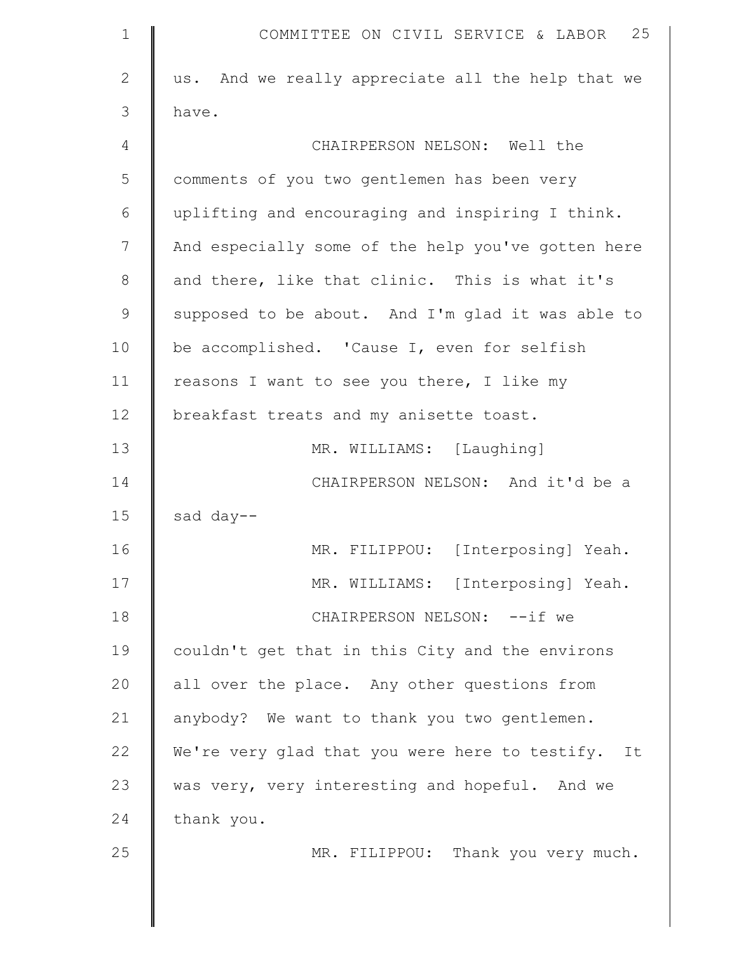| 1             | 25<br>COMMITTEE ON CIVIL SERVICE & LABOR           |
|---------------|----------------------------------------------------|
| $\mathbf{2}$  | us. And we really appreciate all the help that we  |
| 3             | have.                                              |
| 4             | CHAIRPERSON NELSON: Well the                       |
| 5             | comments of you two gentlemen has been very        |
| 6             | uplifting and encouraging and inspiring I think.   |
| 7             | And especially some of the help you've gotten here |
| 8             | and there, like that clinic. This is what it's     |
| $\mathcal{G}$ | supposed to be about. And I'm glad it was able to  |
| 10            | be accomplished. 'Cause I, even for selfish        |
| 11            | reasons I want to see you there, I like my         |
| 12            | breakfast treats and my anisette toast.            |
| 13            | MR. WILLIAMS: [Laughing]                           |
| 14            | CHAIRPERSON NELSON: And it'd be a                  |
| 15            | sad day--                                          |
| 16            | MR. FILIPPOU: [Interposing] Yeah.                  |
| 17            | MR. WILLIAMS: [Interposing] Yeah.                  |
| 18            | CHAIRPERSON NELSON: -- if we                       |
| 19            | couldn't get that in this City and the environs    |
| 20            | all over the place. Any other questions from       |
| 21            | anybody? We want to thank you two gentlemen.       |
| 22            | We're very glad that you were here to testify. It  |
| 23            | was very, very interesting and hopeful. And we     |
| 24            | thank you.                                         |
| 25            | MR. FILIPPOU: Thank you very much.                 |
|               |                                                    |
|               |                                                    |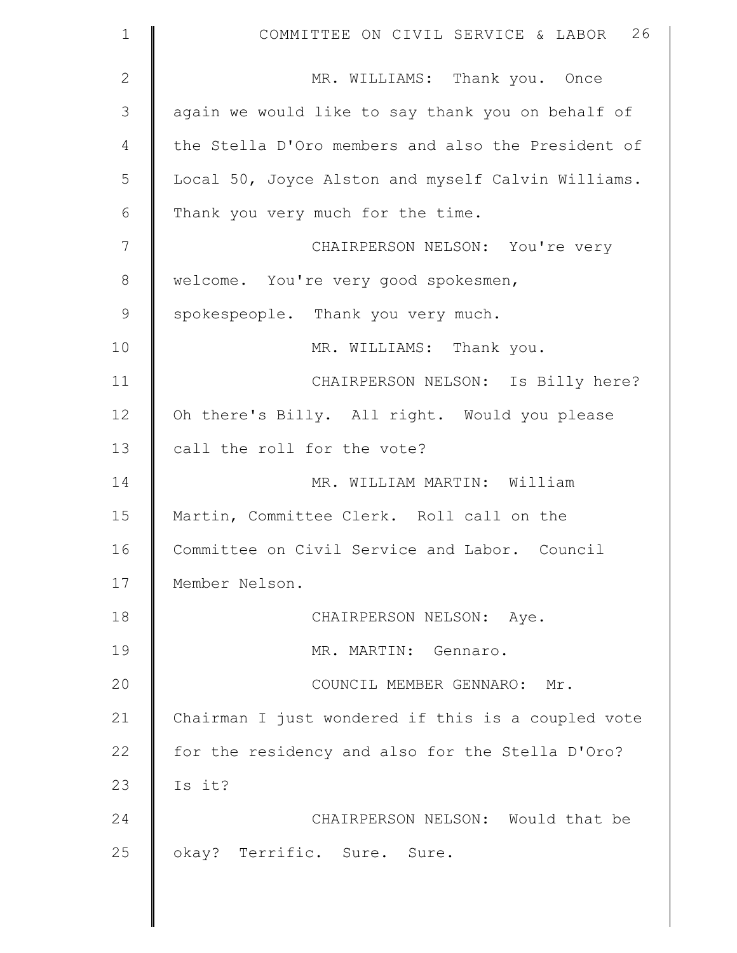| $\mathbf 1$  | COMMITTEE ON CIVIL SERVICE & LABOR 26              |
|--------------|----------------------------------------------------|
| $\mathbf{2}$ | MR. WILLIAMS: Thank you. Once                      |
| 3            | again we would like to say thank you on behalf of  |
| 4            | the Stella D'Oro members and also the President of |
| 5            | Local 50, Joyce Alston and myself Calvin Williams. |
| 6            | Thank you very much for the time.                  |
| 7            | CHAIRPERSON NELSON: You're very                    |
| $8\,$        | welcome. You're very good spokesmen,               |
| $\mathsf 9$  | spokespeople. Thank you very much.                 |
| 10           | MR. WILLIAMS: Thank you.                           |
| 11           | CHAIRPERSON NELSON: Is Billy here?                 |
| 12           | Oh there's Billy. All right. Would you please      |
| 13           | call the roll for the vote?                        |
| 14           | MR. WILLIAM MARTIN: William                        |
| 15           | Martin, Committee Clerk. Roll call on the          |
| 16           | Committee on Civil Service and Labor. Council      |
| 17           | Member Nelson.                                     |
| 18           | CHAIRPERSON NELSON: Aye.                           |
| 19           | MR. MARTIN: Gennaro.                               |
| 20           | COUNCIL MEMBER GENNARO: Mr.                        |
| 21           | Chairman I just wondered if this is a coupled vote |
| 22           | for the residency and also for the Stella D'Oro?   |
| 23           | Is it?                                             |
| 24           | CHAIRPERSON NELSON: Would that be                  |
| 25           | okay? Terrific. Sure. Sure.                        |
|              |                                                    |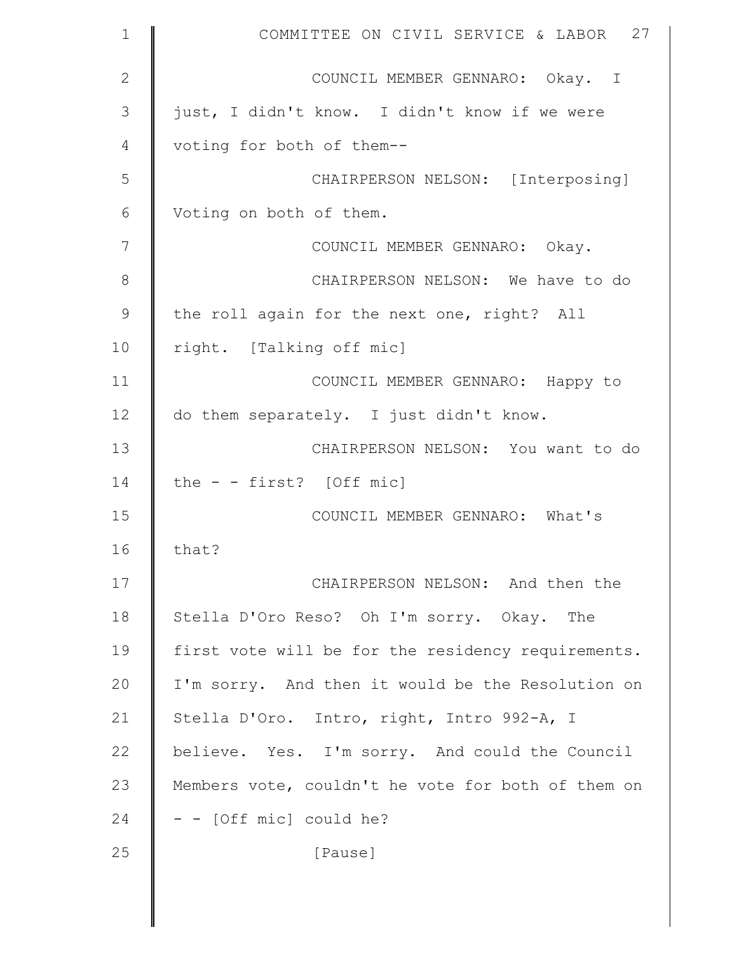| $\mathbf 1$   | COMMITTEE ON CIVIL SERVICE & LABOR 27              |
|---------------|----------------------------------------------------|
| $\mathbf{2}$  | COUNCIL MEMBER GENNARO: Okay. I                    |
| 3             | just, I didn't know. I didn't know if we were      |
| 4             | voting for both of them--                          |
| 5             | CHAIRPERSON NELSON: [Interposing]                  |
| 6             | Voting on both of them.                            |
| 7             | COUNCIL MEMBER GENNARO: Okay.                      |
| $\,8\,$       | CHAIRPERSON NELSON: We have to do                  |
| $\mathcal{G}$ | the roll again for the next one, right? All        |
| 10            | right. [Talking off mic]                           |
| 11            | COUNCIL MEMBER GENNARO: Happy to                   |
| 12            | do them separately. I just didn't know.            |
| 13            | CHAIRPERSON NELSON: You want to do                 |
| 14            | the $-$ - first? [Off mic]                         |
| 15            | COUNCIL MEMBER GENNARO: What's                     |
| 16            | that?                                              |
| 17            | CHAIRPERSON NELSON: And then the                   |
| 18            | Stella D'Oro Reso? Oh I'm sorry. Okay. The         |
| 19            | first vote will be for the residency requirements. |
| 20            | I'm sorry. And then it would be the Resolution on  |
| 21            | Stella D'Oro. Intro, right, Intro 992-A, I         |
| 22            | believe. Yes. I'm sorry. And could the Council     |
| 23            | Members vote, couldn't he vote for both of them on |
| 24            | - - [Off mic] could he?                            |
| 25            | [Pause]                                            |
|               |                                                    |

 $\parallel$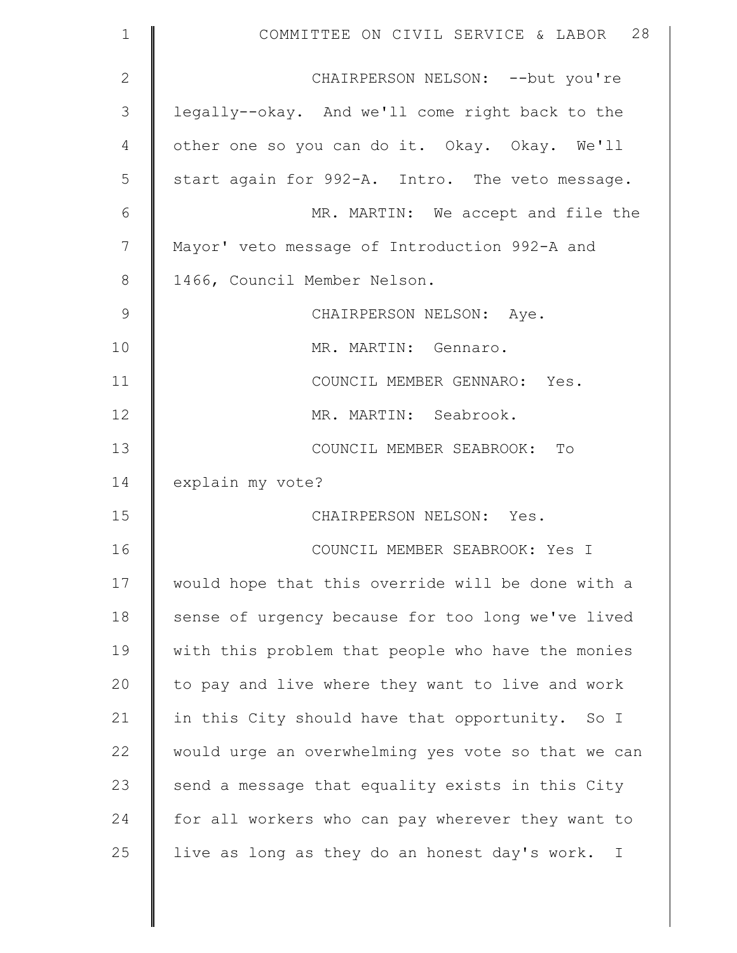| $\mathbf 1$  | COMMITTEE ON CIVIL SERVICE & LABOR 28                        |
|--------------|--------------------------------------------------------------|
| $\mathbf{2}$ | CHAIRPERSON NELSON: -- but you're                            |
| 3            | legally--okay. And we'll come right back to the              |
| 4            | other one so you can do it. Okay. Okay. We'll                |
| 5            | start again for 992-A. Intro. The veto message.              |
| 6            | MR. MARTIN: We accept and file the                           |
| 7            | Mayor' veto message of Introduction 992-A and                |
| $8\,$        | 1466, Council Member Nelson.                                 |
| $\mathsf 9$  | CHAIRPERSON NELSON: Aye.                                     |
| 10           | MR. MARTIN: Gennaro.                                         |
| 11           | COUNCIL MEMBER GENNARO: Yes.                                 |
| 12           | MR. MARTIN: Seabrook.                                        |
| 13           | COUNCIL MEMBER SEABROOK: To                                  |
| 14           | explain my vote?                                             |
| 15           | CHAIRPERSON NELSON: Yes.                                     |
| 16           | COUNCIL MEMBER SEABROOK: Yes I                               |
| 17           | would hope that this override will be done with a            |
| 18           | sense of urgency because for too long we've lived            |
| 19           | with this problem that people who have the monies            |
| 20           | to pay and live where they want to live and work             |
| 21           | in this City should have that opportunity. So I              |
| 22           | would urge an overwhelming yes vote so that we can           |
| 23           | send a message that equality exists in this City             |
| 24           | for all workers who can pay wherever they want to            |
| 25           | live as long as they do an honest day's work.<br>$\mathbf I$ |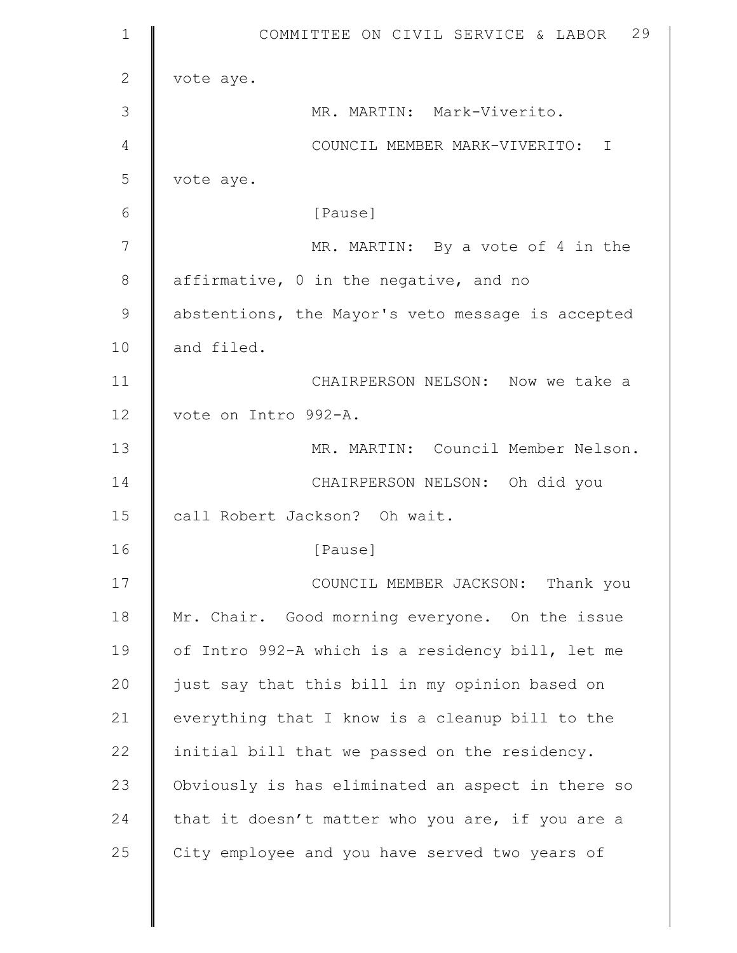| $\mathbf 1$  | 29<br>COMMITTEE ON CIVIL SERVICE & LABOR          |
|--------------|---------------------------------------------------|
| $\mathbf{2}$ | vote aye.                                         |
| 3            | MR. MARTIN: Mark-Viverito.                        |
| 4            | COUNCIL MEMBER MARK-VIVERITO: I                   |
| 5            | vote aye.                                         |
| 6            | [Pause]                                           |
| 7            | MR. MARTIN: By a vote of 4 in the                 |
| 8            | affirmative, 0 in the negative, and no            |
| 9            | abstentions, the Mayor's veto message is accepted |
| 10           | and filed.                                        |
| 11           | CHAIRPERSON NELSON: Now we take a                 |
| 12           | vote on Intro 992-A.                              |
| 13           | MR. MARTIN: Council Member Nelson.                |
| 14           | CHAIRPERSON NELSON: Oh did you                    |
| 15           | call Robert Jackson? Oh wait.                     |
| 16           | [Pause]                                           |
| 17           | COUNCIL MEMBER JACKSON: Thank you                 |
| 18           | Mr. Chair. Good morning everyone. On the issue    |
| 19           | of Intro 992-A which is a residency bill, let me  |
| 20           | just say that this bill in my opinion based on    |
| 21           | everything that I know is a cleanup bill to the   |
| 22           | initial bill that we passed on the residency.     |
| 23           | Obviously is has eliminated an aspect in there so |
| 24           | that it doesn't matter who you are, if you are a  |
| 25           | City employee and you have served two years of    |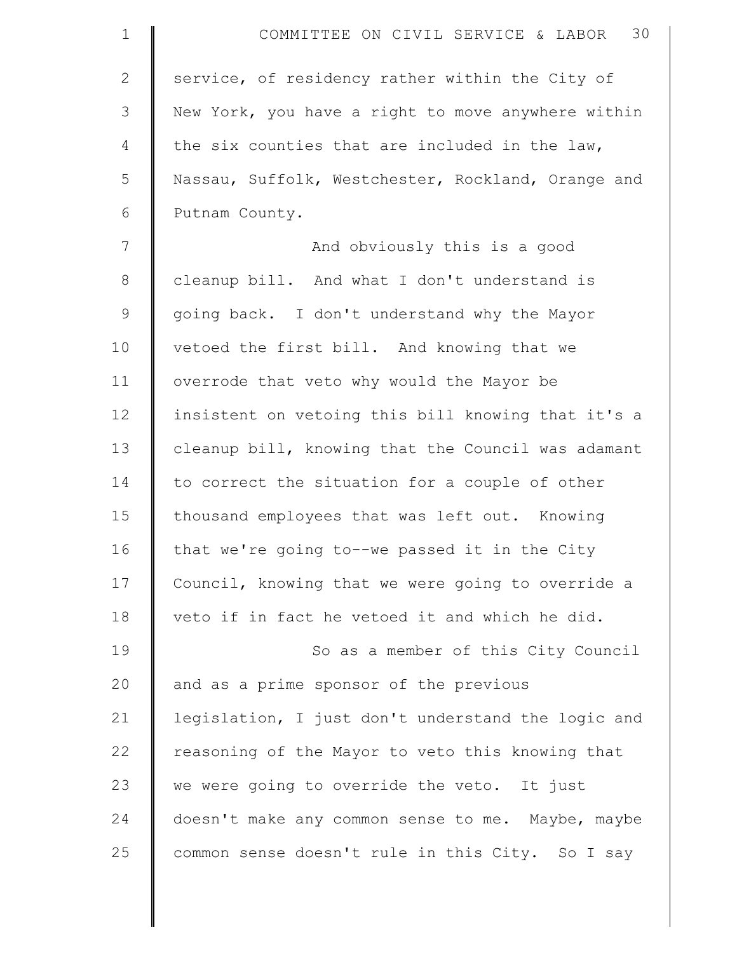| $\mathbf 1$  | 30<br>COMMITTEE ON CIVIL SERVICE & LABOR           |
|--------------|----------------------------------------------------|
| $\mathbf{2}$ | service, of residency rather within the City of    |
| 3            | New York, you have a right to move anywhere within |
| 4            | the six counties that are included in the law,     |
| 5            | Nassau, Suffolk, Westchester, Rockland, Orange and |
| 6            | Putnam County.                                     |
| 7            | And obviously this is a good                       |
| $8\,$        | cleanup bill. And what I don't understand is       |
| $\mathsf 9$  | going back. I don't understand why the Mayor       |
| 10           | vetoed the first bill. And knowing that we         |
| 11           | overrode that veto why would the Mayor be          |
| 12           | insistent on vetoing this bill knowing that it's a |
| 13           | cleanup bill, knowing that the Council was adamant |
| 14           | to correct the situation for a couple of other     |
| 15           | thousand employees that was left out. Knowing      |
| 16           | that we're going to--we passed it in the City      |
| 17           | Council, knowing that we were going to override a  |
| 18           | veto if in fact he vetoed it and which he did.     |
| 19           | So as a member of this City Council                |
| 20           | and as a prime sponsor of the previous             |
| 21           | legislation, I just don't understand the logic and |
| 22           | reasoning of the Mayor to veto this knowing that   |
| 23           | we were going to override the veto. It just        |
| 24           | doesn't make any common sense to me. Maybe, maybe  |
| 25           | common sense doesn't rule in this City. So I say   |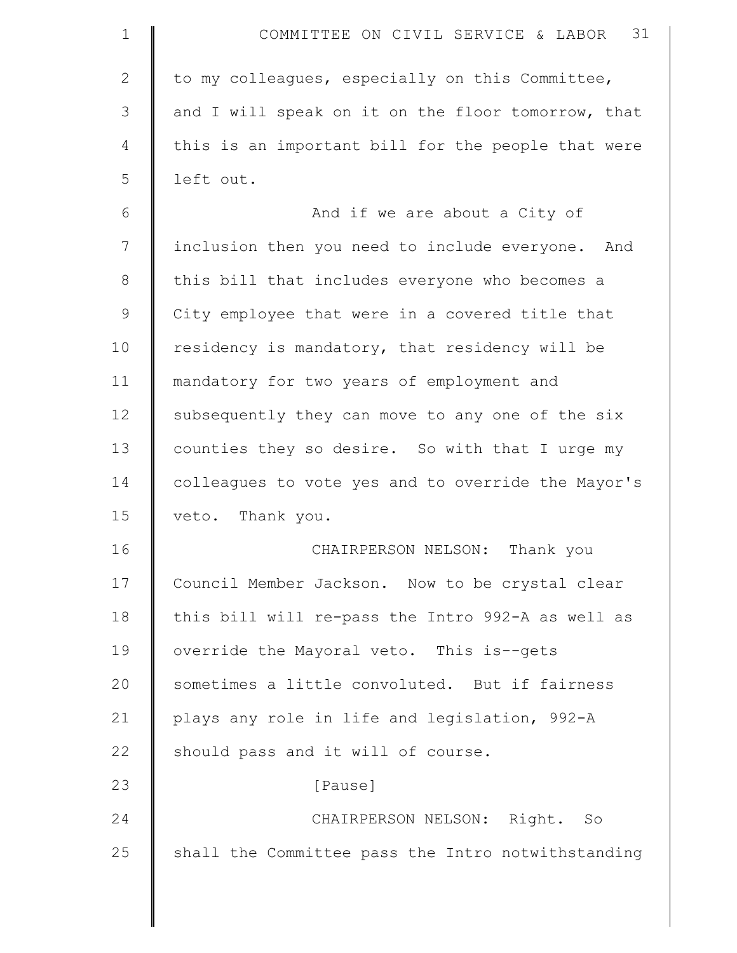| $\mathbf 1$  | COMMITTEE ON CIVIL SERVICE & LABOR 31              |
|--------------|----------------------------------------------------|
| $\mathbf{2}$ | to my colleagues, especially on this Committee,    |
| 3            | and I will speak on it on the floor tomorrow, that |
| 4            | this is an important bill for the people that were |
| 5            | left out.                                          |
| 6            | And if we are about a City of                      |
| 7            | inclusion then you need to include everyone. And   |
| $8\,$        | this bill that includes everyone who becomes a     |
| $\mathsf 9$  | City employee that were in a covered title that    |
| 10           | residency is mandatory, that residency will be     |
| 11           | mandatory for two years of employment and          |
| 12           | subsequently they can move to any one of the six   |
| 13           | counties they so desire. So with that I urge my    |
| 14           | colleagues to vote yes and to override the Mayor's |
| 15           | veto. Thank you.                                   |
| 16           | Thank you<br>CHAIRPERSON NELSON:                   |
| 17           | Council Member Jackson. Now to be crystal clear    |
| 18           | this bill will re-pass the Intro 992-A as well as  |
| 19           | override the Mayoral veto. This is--gets           |
| 20           | sometimes a little convoluted. But if fairness     |
| 21           | plays any role in life and legislation, 992-A      |
| 22           | should pass and it will of course.                 |
| 23           | [Pause]                                            |
| 24           | CHAIRPERSON NELSON: Right. So                      |
| 25           | shall the Committee pass the Intro notwithstanding |
|              |                                                    |

 $\parallel$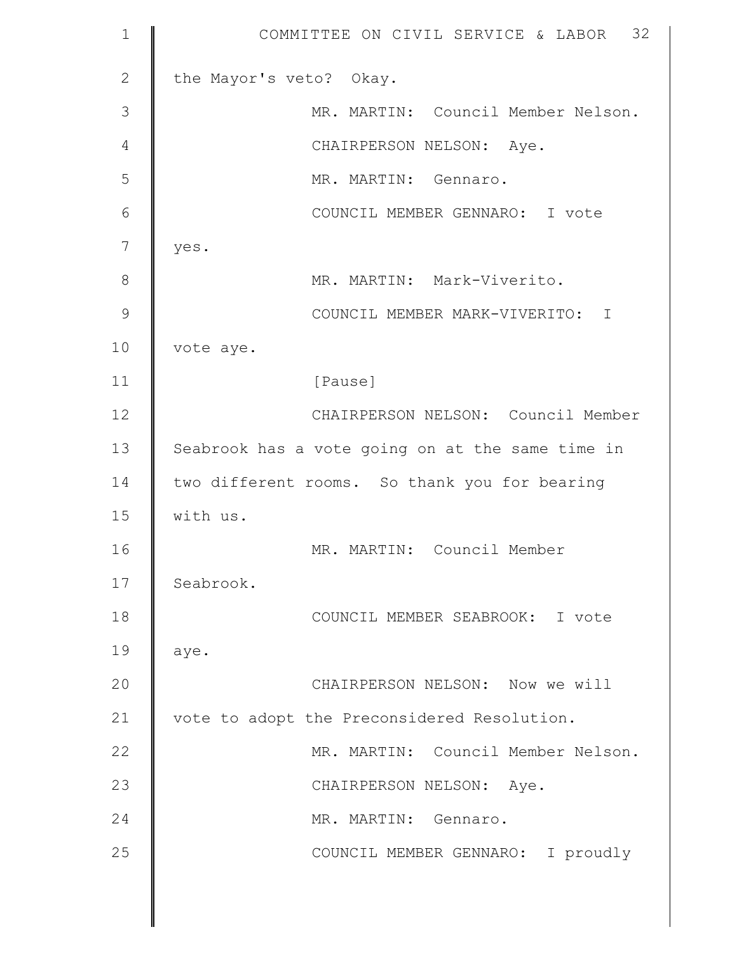| $\mathbf 1$   | COMMITTEE ON CIVIL SERVICE & LABOR 32            |
|---------------|--------------------------------------------------|
| $\mathbf{2}$  | the Mayor's veto? Okay.                          |
| 3             | MR. MARTIN: Council Member Nelson.               |
| 4             | CHAIRPERSON NELSON: Aye.                         |
| 5             | MR. MARTIN: Gennaro.                             |
| 6             | COUNCIL MEMBER GENNARO: I vote                   |
| 7             | yes.                                             |
| 8             | MR. MARTIN: Mark-Viverito.                       |
| $\mathcal{G}$ | COUNCIL MEMBER MARK-VIVERITO:<br>$\mathbf I$     |
| 10            | vote aye.                                        |
| 11            | [Pause]                                          |
| 12            | CHAIRPERSON NELSON: Council Member               |
| 13            | Seabrook has a vote going on at the same time in |
| 14            | two different rooms. So thank you for bearing    |
| 15            | with us.                                         |
| 16            | MR. MARTIN: Council Member                       |
| 17            | Seabrook.                                        |
| 18            | COUNCIL MEMBER SEABROOK: I vote                  |
| 19            | aye.                                             |
| 20            | CHAIRPERSON NELSON: Now we will                  |
| 21            | vote to adopt the Preconsidered Resolution.      |
| 22            | MR. MARTIN: Council Member Nelson.               |
| 23            | CHAIRPERSON NELSON: Aye.                         |
| 24            | MR. MARTIN: Gennaro.                             |
| 25            | COUNCIL MEMBER GENNARO: I proudly                |
|               |                                                  |

║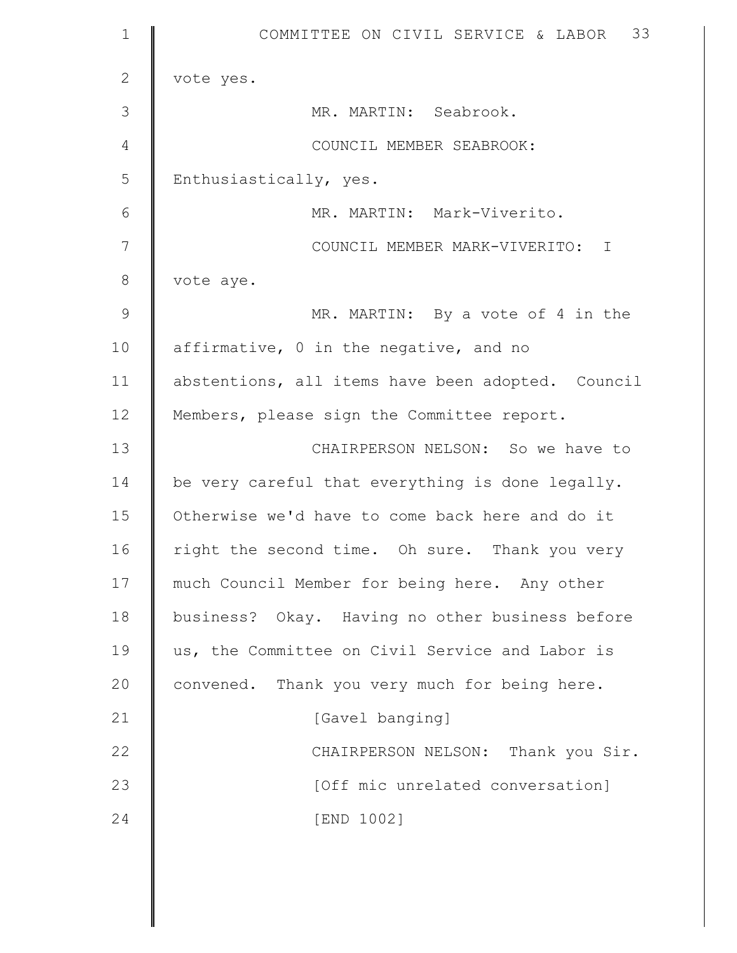| $\mathbf 1$  | 33<br>COMMITTEE ON CIVIL SERVICE & LABOR          |
|--------------|---------------------------------------------------|
| $\mathbf{2}$ | vote yes.                                         |
| 3            | MR. MARTIN: Seabrook.                             |
| 4            | COUNCIL MEMBER SEABROOK:                          |
| 5            | Enthusiastically, yes.                            |
| 6            | MR. MARTIN: Mark-Viverito.                        |
| 7            | COUNCIL MEMBER MARK-VIVERITO: I                   |
| $8\,$        | vote aye.                                         |
| 9            | MR. MARTIN: By a vote of 4 in the                 |
| 10           | affirmative, 0 in the negative, and no            |
| 11           | abstentions, all items have been adopted. Council |
| 12           | Members, please sign the Committee report.        |
| 13           | CHAIRPERSON NELSON: So we have to                 |
| 14           | be very careful that everything is done legally.  |
| 15           | Otherwise we'd have to come back here and do it   |
| 16           | right the second time. Oh sure. Thank you very    |
| 17           | much Council Member for being here. Any other     |
| 18           | business? Okay. Having no other business before   |
| 19           | us, the Committee on Civil Service and Labor is   |
| 20           | convened. Thank you very much for being here.     |
| 21           | [Gavel banging]                                   |
| 22           | CHAIRPERSON NELSON: Thank you Sir.                |
| 23           | [Off mic unrelated conversation]                  |
| 24           | [END 1002]                                        |
|              |                                                   |